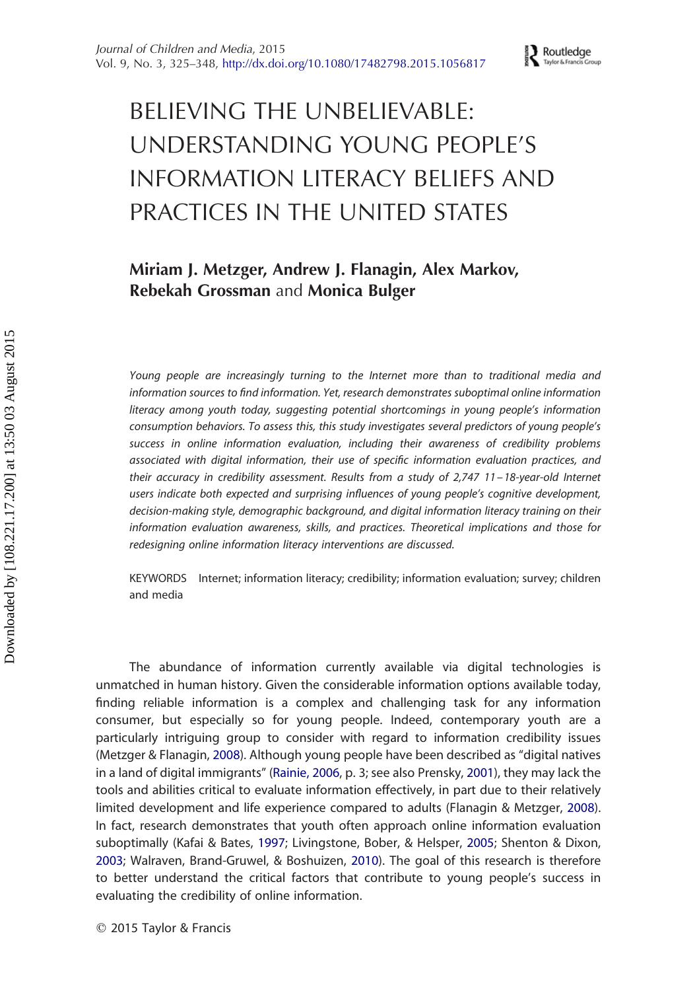# BELIEVING THE UNBELIEVABLE: UNDERSTANDING YOUNG PEOPLE'S INFORMATION LITERACY BELIEFS AND PRACTICES IN THE UNITED STATES

# Miriam J. Metzger, Andrew J. Flanagin, Alex Markov, Rebekah Grossman and Monica Bulger

Young people are increasingly turning to the Internet more than to traditional media and information sources to find information. Yet, research demonstrates suboptimal online information literacy among youth today, suggesting potential shortcomings in young people's information consumption behaviors. To assess this, this study investigates several predictors of young people's success in online information evaluation, including their awareness of credibility problems associated with digital information, their use of specific information evaluation practices, and their accuracy in credibility assessment. Results from a study of 2,747 11–18-year-old Internet users indicate both expected and surprising influences of young people's cognitive development, decision-making style, demographic background, and digital information literacy training on their information evaluation awareness, skills, and practices. Theoretical implications and those for redesigning online information literacy interventions are discussed.

KEYWORDS Internet; information literacy; credibility; information evaluation; survey; children and media

The abundance of information currently available via digital technologies is unmatched in human history. Given the considerable information options available today, finding reliable information is a complex and challenging task for any information consumer, but especially so for young people. Indeed, contemporary youth are a particularly intriguing group to consider with regard to information credibility issues (Metzger & Flanagin, [2008](#page-21-0)). Although young people have been described as "digital natives in a land of digital immigrants" ([Rainie, 2006](#page-21-0), p. 3; see also Prensky, [2001\)](#page-21-0), they may lack the tools and abilities critical to evaluate information effectively, in part due to their relatively limited development and life experience compared to adults (Flanagin & Metzger, [2008](#page-19-0)). In fact, research demonstrates that youth often approach online information evaluation suboptimally (Kafai & Bates, [1997](#page-20-0); Livingstone, Bober, & Helsper, [2005;](#page-20-0) Shenton & Dixon, [2003](#page-22-0); Walraven, Brand-Gruwel, & Boshuizen, [2010\)](#page-22-0). The goal of this research is therefore to better understand the critical factors that contribute to young people's success in evaluating the credibility of online information.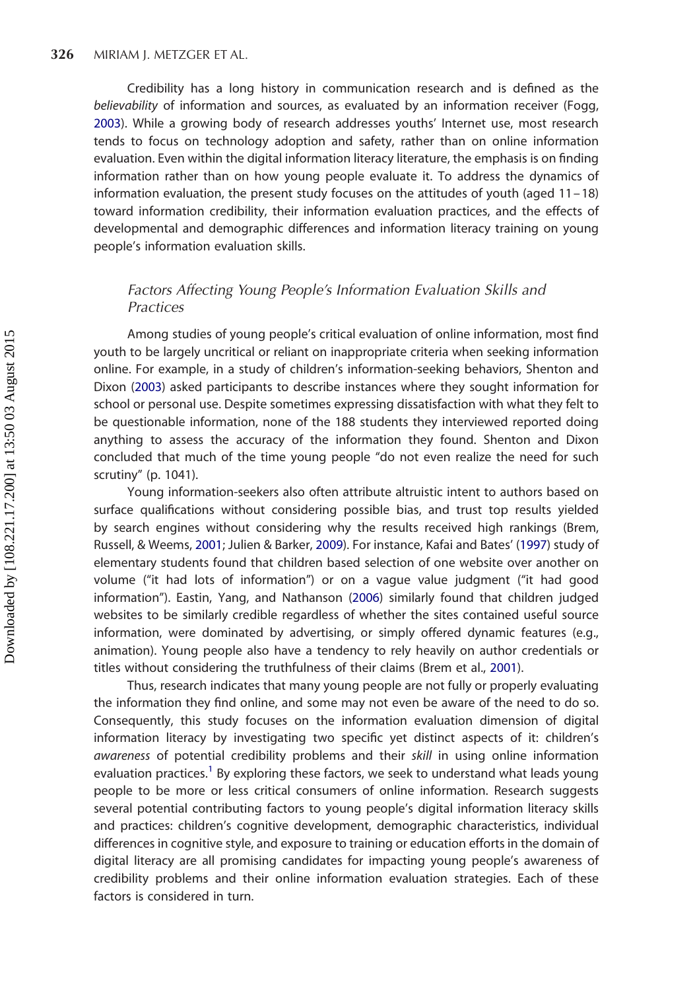Credibility has a long history in communication research and is defined as the believability of information and sources, as evaluated by an information receiver (Fogg, [2003\)](#page-19-0). While a growing body of research addresses youths' Internet use, most research tends to focus on technology adoption and safety, rather than on online information evaluation. Even within the digital information literacy literature, the emphasis is on finding information rather than on how young people evaluate it. To address the dynamics of information evaluation, the present study focuses on the attitudes of youth (aged 11 –18) toward information credibility, their information evaluation practices, and the effects of developmental and demographic differences and information literacy training on young people's information evaluation skills.

## Factors Affecting Young People's Information Evaluation Skills and **Practices**

Among studies of young people's critical evaluation of online information, most find youth to be largely uncritical or reliant on inappropriate criteria when seeking information online. For example, in a study of children's information-seeking behaviors, Shenton and Dixon ([2003\)](#page-22-0) asked participants to describe instances where they sought information for school or personal use. Despite sometimes expressing dissatisfaction with what they felt to be questionable information, none of the 188 students they interviewed reported doing anything to assess the accuracy of the information they found. Shenton and Dixon concluded that much of the time young people "do not even realize the need for such scrutiny" (p. 1041).

Young information-seekers also often attribute altruistic intent to authors based on surface qualifications without considering possible bias, and trust top results yielded by search engines without considering why the results received high rankings (Brem, Russell, & Weems, [2001;](#page-18-0) Julien & Barker, [2009](#page-20-0)). For instance, Kafai and Bates' [\(1997](#page-20-0)) study of elementary students found that children based selection of one website over another on volume ("it had lots of information") or on a vague value judgment ("it had good information"). Eastin, Yang, and Nathanson [\(2006](#page-19-0)) similarly found that children judged websites to be similarly credible regardless of whether the sites contained useful source information, were dominated by advertising, or simply offered dynamic features (e.g., animation). Young people also have a tendency to rely heavily on author credentials or titles without considering the truthfulness of their claims (Brem et al., [2001](#page-18-0)).

Thus, research indicates that many young people are not fully or properly evaluating the information they find online, and some may not even be aware of the need to do so. Consequently, this study focuses on the information evaluation dimension of digital information literacy by investigating two specific yet distinct aspects of it: children's awareness of potential credibility problems and their skill in using online information evaluation practices.<sup>[1](#page-17-0)</sup> By exploring these factors, we seek to understand what leads young people to be more or less critical consumers of online information. Research suggests several potential contributing factors to young people's digital information literacy skills and practices: children's cognitive development, demographic characteristics, individual differences in cognitive style, and exposure to training or education efforts in the domain of digital literacy are all promising candidates for impacting young people's awareness of credibility problems and their online information evaluation strategies. Each of these factors is considered in turn.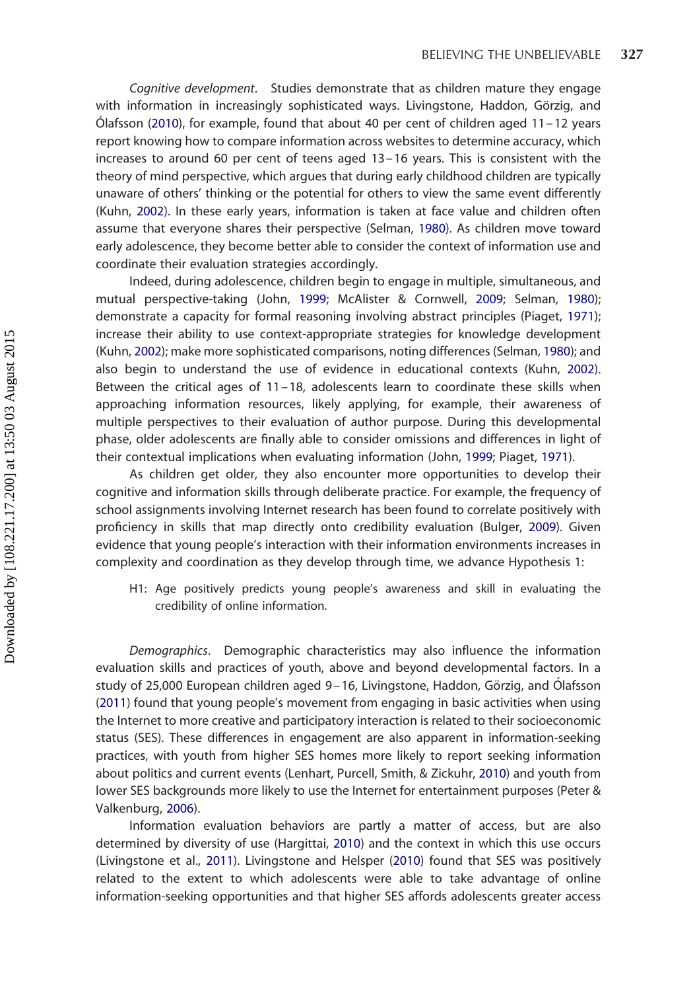Cognitive development. Studies demonstrate that as children mature they engage with information in increasingly sophisticated ways. Livingstone, Haddon, Görzig, and O lafsson ([2010\)](#page-20-0), for example, found that about 40 per cent of children aged  $11 - 12$  years report knowing how to compare information across websites to determine accuracy, which increases to around 60 per cent of teens aged 13 –16 years. This is consistent with the theory of mind perspective, which argues that during early childhood children are typically unaware of others' thinking or the potential for others to view the same event differently (Kuhn, [2002](#page-20-0)). In these early years, information is taken at face value and children often assume that everyone shares their perspective (Selman, [1980](#page-21-0)). As children move toward early adolescence, they become better able to consider the context of information use and coordinate their evaluation strategies accordingly.

Indeed, during adolescence, children begin to engage in multiple, simultaneous, and mutual perspective-taking (John, [1999;](#page-20-0) McAlister & Cornwell, [2009](#page-21-0); Selman, [1980](#page-21-0)); demonstrate a capacity for formal reasoning involving abstract principles (Piaget, [1971](#page-21-0)); increase their ability to use context-appropriate strategies for knowledge development (Kuhn, [2002\)](#page-20-0); make more sophisticated comparisons, noting differences (Selman, [1980](#page-21-0)); and also begin to understand the use of evidence in educational contexts (Kuhn, [2002](#page-20-0)). Between the critical ages of 11 –18, adolescents learn to coordinate these skills when approaching information resources, likely applying, for example, their awareness of multiple perspectives to their evaluation of author purpose. During this developmental phase, older adolescents are finally able to consider omissions and differences in light of their contextual implications when evaluating information (John, [1999;](#page-20-0) Piaget, [1971\)](#page-21-0).

As children get older, they also encounter more opportunities to develop their cognitive and information skills through deliberate practice. For example, the frequency of school assignments involving Internet research has been found to correlate positively with proficiency in skills that map directly onto credibility evaluation (Bulger, [2009\)](#page-18-0). Given evidence that young people's interaction with their information environments increases in complexity and coordination as they develop through time, we advance Hypothesis 1:

H1: Age positively predicts young people's awareness and skill in evaluating the credibility of online information.

Demographics. Demographic characteristics may also influence the information evaluation skills and practices of youth, above and beyond developmental factors. In a study of 25,000 European children aged 9-16, Livingstone, Haddon, Görzig, and Ólafsson ([2011](#page-21-0)) found that young people's movement from engaging in basic activities when using the Internet to more creative and participatory interaction is related to their socioeconomic status (SES). These differences in engagement are also apparent in information-seeking practices, with youth from higher SES homes more likely to report seeking information about politics and current events (Lenhart, Purcell, Smith, & Zickuhr, [2010](#page-20-0)) and youth from lower SES backgrounds more likely to use the Internet for entertainment purposes (Peter & Valkenburg, [2006\)](#page-21-0).

Information evaluation behaviors are partly a matter of access, but are also determined by diversity of use (Hargittai, [2010](#page-19-0)) and the context in which this use occurs (Livingstone et al., [2011\)](#page-21-0). Livingstone and Helsper [\(2010](#page-21-0)) found that SES was positively related to the extent to which adolescents were able to take advantage of online information-seeking opportunities and that higher SES affords adolescents greater access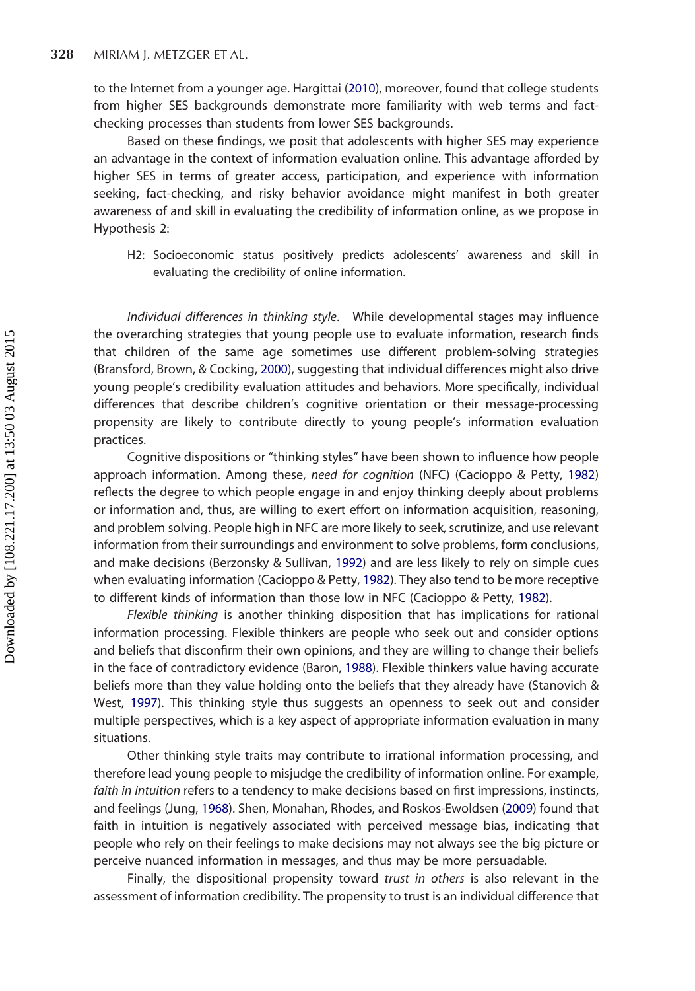to the Internet from a younger age. Hargittai [\(2010\)](#page-19-0), moreover, found that college students from higher SES backgrounds demonstrate more familiarity with web terms and factchecking processes than students from lower SES backgrounds.

Based on these findings, we posit that adolescents with higher SES may experience an advantage in the context of information evaluation online. This advantage afforded by higher SES in terms of greater access, participation, and experience with information seeking, fact-checking, and risky behavior avoidance might manifest in both greater awareness of and skill in evaluating the credibility of information online, as we propose in Hypothesis 2:

H2: Socioeconomic status positively predicts adolescents' awareness and skill in evaluating the credibility of online information.

Individual differences in thinking style. While developmental stages may influence the overarching strategies that young people use to evaluate information, research finds that children of the same age sometimes use different problem-solving strategies (Bransford, Brown, & Cocking, [2000](#page-18-0)), suggesting that individual differences might also drive young people's credibility evaluation attitudes and behaviors. More specifically, individual differences that describe children's cognitive orientation or their message-processing propensity are likely to contribute directly to young people's information evaluation practices.

Cognitive dispositions or "thinking styles" have been shown to influence how people approach information. Among these, need for cognition (NFC) (Cacioppo & Petty, [1982\)](#page-18-0) reflects the degree to which people engage in and enjoy thinking deeply about problems or information and, thus, are willing to exert effort on information acquisition, reasoning, and problem solving. People high in NFC are more likely to seek, scrutinize, and use relevant information from their surroundings and environment to solve problems, form conclusions, and make decisions (Berzonsky & Sullivan, [1992](#page-18-0)) and are less likely to rely on simple cues when evaluating information (Cacioppo & Petty, [1982](#page-18-0)). They also tend to be more receptive to different kinds of information than those low in NFC (Cacioppo & Petty, [1982](#page-18-0)).

Flexible thinking is another thinking disposition that has implications for rational information processing. Flexible thinkers are people who seek out and consider options and beliefs that disconfirm their own opinions, and they are willing to change their beliefs in the face of contradictory evidence (Baron, [1988](#page-18-0)). Flexible thinkers value having accurate beliefs more than they value holding onto the beliefs that they already have (Stanovich & West, [1997\)](#page-22-0). This thinking style thus suggests an openness to seek out and consider multiple perspectives, which is a key aspect of appropriate information evaluation in many situations.

Other thinking style traits may contribute to irrational information processing, and therefore lead young people to misjudge the credibility of information online. For example, faith in intuition refers to a tendency to make decisions based on first impressions, instincts, and feelings (Jung, [1968](#page-20-0)). Shen, Monahan, Rhodes, and Roskos-Ewoldsen ([2009](#page-22-0)) found that faith in intuition is negatively associated with perceived message bias, indicating that people who rely on their feelings to make decisions may not always see the big picture or perceive nuanced information in messages, and thus may be more persuadable.

Finally, the dispositional propensity toward trust in others is also relevant in the assessment of information credibility. The propensity to trust is an individual difference that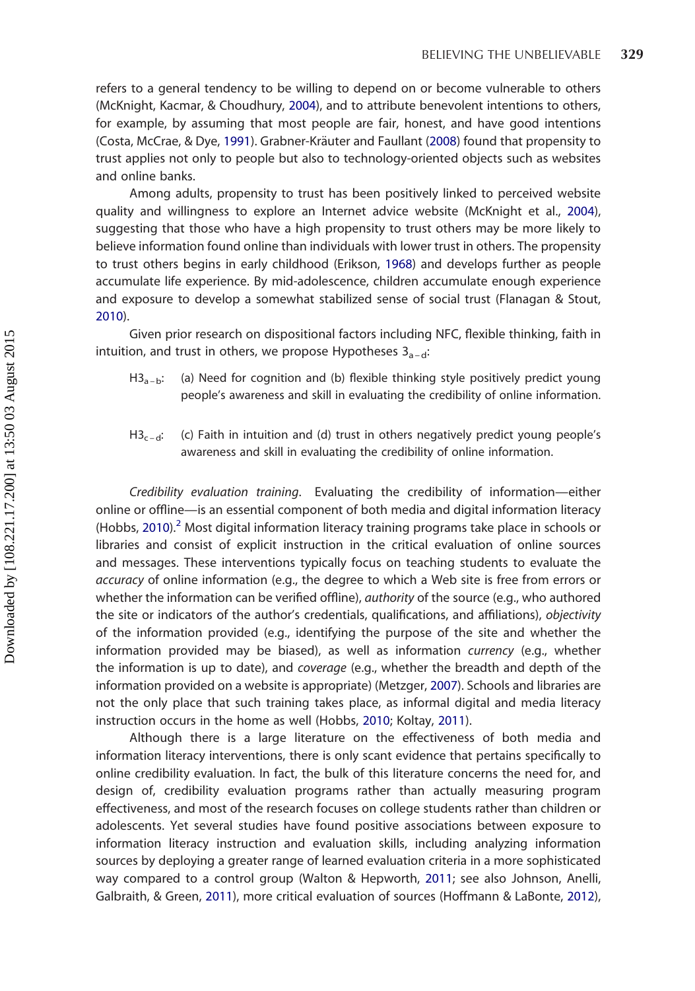refers to a general tendency to be willing to depend on or become vulnerable to others (McKnight, Kacmar, & Choudhury, [2004](#page-21-0)), and to attribute benevolent intentions to others, for example, by assuming that most people are fair, honest, and have good intentions (Costa, McCrae, & Dye, [1991](#page-19-0)). Grabner-Kräuter and Faullant ([2008](#page-19-0)) found that propensity to trust applies not only to people but also to technology-oriented objects such as websites and online banks.

Among adults, propensity to trust has been positively linked to perceived website quality and willingness to explore an Internet advice website (McKnight et al., [2004](#page-21-0)), suggesting that those who have a high propensity to trust others may be more likely to believe information found online than individuals with lower trust in others. The propensity to trust others begins in early childhood (Erikson, [1968\)](#page-19-0) and develops further as people accumulate life experience. By mid-adolescence, children accumulate enough experience and exposure to develop a somewhat stabilized sense of social trust (Flanagan & Stout, [2010](#page-19-0)).

Given prior research on dispositional factors including NFC, flexible thinking, faith in intuition, and trust in others, we propose Hypotheses  $3<sub>a-d</sub>$ :

- $H3_{a-b}$ : (a) Need for cognition and (b) flexible thinking style positively predict young people's awareness and skill in evaluating the credibility of online information.
- $H3_{c-d}$ : (c) Faith in intuition and (d) trust in others negatively predict young people's awareness and skill in evaluating the credibility of online information.

Credibility evaluation training. Evaluating the credibility of information—either online or offline—is an essential component of both media and digital information literacy (Hobbs, [2010](#page-19-0)).<sup>[2](#page-17-0)</sup> Most digital information literacy training programs take place in schools or libraries and consist of explicit instruction in the critical evaluation of online sources and messages. These interventions typically focus on teaching students to evaluate the accuracy of online information (e.g., the degree to which a Web site is free from errors or whether the information can be verified offline), *authority* of the source (e.g., who authored the site or indicators of the author's credentials, qualifications, and affiliations), objectivity of the information provided (e.g., identifying the purpose of the site and whether the information provided may be biased), as well as information currency (e.g., whether the information is up to date), and coverage (e.g., whether the breadth and depth of the information provided on a website is appropriate) (Metzger, [2007\)](#page-21-0). Schools and libraries are not the only place that such training takes place, as informal digital and media literacy instruction occurs in the home as well (Hobbs, [2010;](#page-19-0) Koltay, [2011](#page-20-0)).

Although there is a large literature on the effectiveness of both media and information literacy interventions, there is only scant evidence that pertains specifically to online credibility evaluation. In fact, the bulk of this literature concerns the need for, and design of, credibility evaluation programs rather than actually measuring program effectiveness, and most of the research focuses on college students rather than children or adolescents. Yet several studies have found positive associations between exposure to information literacy instruction and evaluation skills, including analyzing information sources by deploying a greater range of learned evaluation criteria in a more sophisticated way compared to a control group (Walton & Hepworth, [2011](#page-22-0); see also Johnson, Anelli, Galbraith, & Green, [2011](#page-20-0)), more critical evaluation of sources (Hoffmann & LaBonte, [2012](#page-19-0)),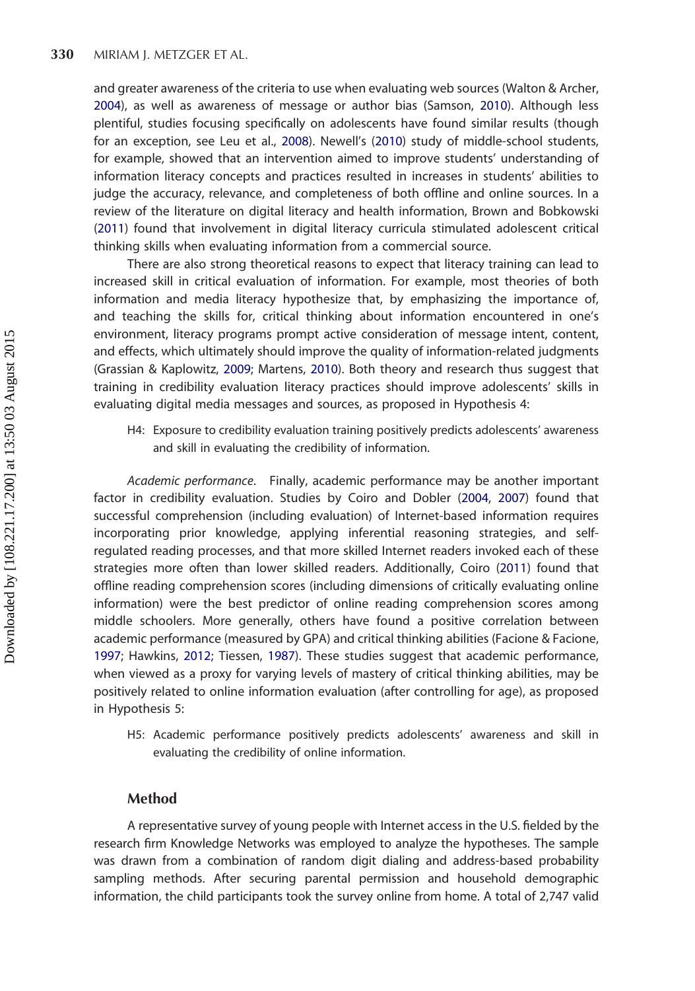and greater awareness of the criteria to use when evaluating web sources (Walton & Archer, [2004\)](#page-22-0), as well as awareness of message or author bias (Samson, [2010](#page-21-0)). Although less plentiful, studies focusing specifically on adolescents have found similar results (though for an exception, see Leu et al., [2008](#page-20-0)). Newell's [\(2010\)](#page-21-0) study of middle-school students, for example, showed that an intervention aimed to improve students' understanding of information literacy concepts and practices resulted in increases in students' abilities to judge the accuracy, relevance, and completeness of both offline and online sources. In a review of the literature on digital literacy and health information, Brown and Bobkowski [\(2011](#page-18-0)) found that involvement in digital literacy curricula stimulated adolescent critical thinking skills when evaluating information from a commercial source.

There are also strong theoretical reasons to expect that literacy training can lead to increased skill in critical evaluation of information. For example, most theories of both information and media literacy hypothesize that, by emphasizing the importance of, and teaching the skills for, critical thinking about information encountered in one's environment, literacy programs prompt active consideration of message intent, content, and effects, which ultimately should improve the quality of information-related judgments (Grassian & Kaplowitz, [2009](#page-19-0); Martens, [2010\)](#page-21-0). Both theory and research thus suggest that training in credibility evaluation literacy practices should improve adolescents' skills in evaluating digital media messages and sources, as proposed in Hypothesis 4:

H4: Exposure to credibility evaluation training positively predicts adolescents' awareness and skill in evaluating the credibility of information.

Academic performance. Finally, academic performance may be another important factor in credibility evaluation. Studies by Coiro and Dobler ([2004,](#page-18-0) [2007](#page-19-0)) found that successful comprehension (including evaluation) of Internet-based information requires incorporating prior knowledge, applying inferential reasoning strategies, and selfregulated reading processes, and that more skilled Internet readers invoked each of these strategies more often than lower skilled readers. Additionally, Coiro ([2011](#page-18-0)) found that offline reading comprehension scores (including dimensions of critically evaluating online information) were the best predictor of online reading comprehension scores among middle schoolers. More generally, others have found a positive correlation between academic performance (measured by GPA) and critical thinking abilities (Facione & Facione, [1997;](#page-19-0) Hawkins, [2012;](#page-19-0) Tiessen, [1987](#page-22-0)). These studies suggest that academic performance, when viewed as a proxy for varying levels of mastery of critical thinking abilities, may be positively related to online information evaluation (after controlling for age), as proposed in Hypothesis 5:

H5: Academic performance positively predicts adolescents' awareness and skill in evaluating the credibility of online information.

#### Method

A representative survey of young people with Internet access in the U.S. fielded by the research firm Knowledge Networks was employed to analyze the hypotheses. The sample was drawn from a combination of random digit dialing and address-based probability sampling methods. After securing parental permission and household demographic information, the child participants took the survey online from home. A total of 2,747 valid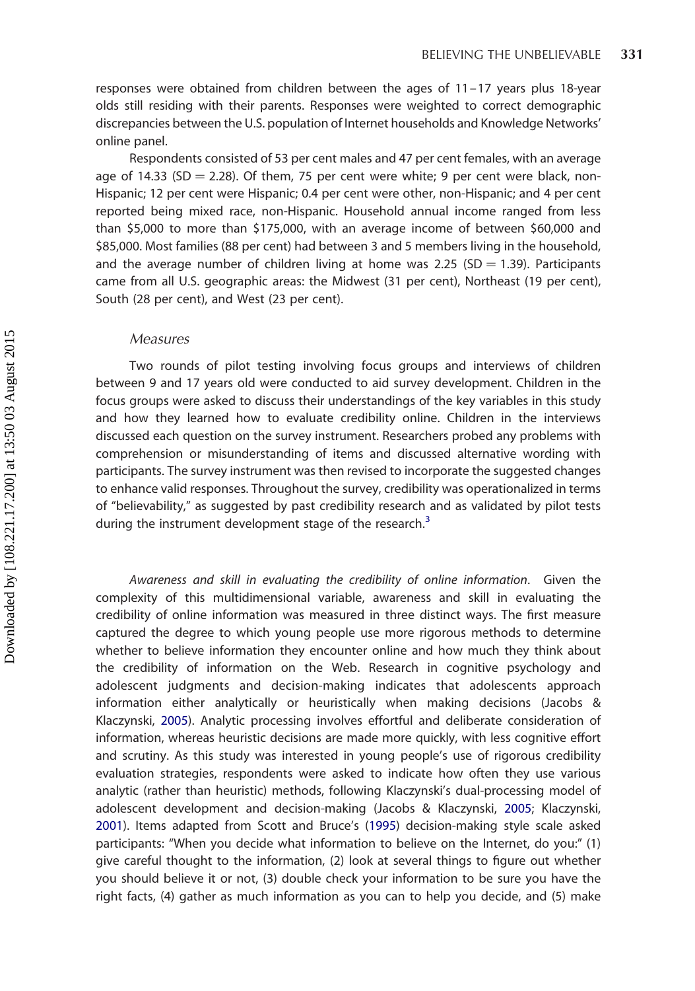responses were obtained from children between the ages of 11–17 years plus 18-year olds still residing with their parents. Responses were weighted to correct demographic discrepancies between the U.S. population of Internet households and Knowledge Networks' online panel.

Respondents consisted of 53 per cent males and 47 per cent females, with an average age of 14.33 (SD = 2.28). Of them, 75 per cent were white; 9 per cent were black, non-Hispanic; 12 per cent were Hispanic; 0.4 per cent were other, non-Hispanic; and 4 per cent reported being mixed race, non-Hispanic. Household annual income ranged from less than \$5,000 to more than \$175,000, with an average income of between \$60,000 and \$85,000. Most families (88 per cent) had between 3 and 5 members living in the household, and the average number of children living at home was 2.25 (SD = 1.39). Participants came from all U.S. geographic areas: the Midwest (31 per cent), Northeast (19 per cent), South (28 per cent), and West (23 per cent).

#### Measures

Two rounds of pilot testing involving focus groups and interviews of children between 9 and 17 years old were conducted to aid survey development. Children in the focus groups were asked to discuss their understandings of the key variables in this study and how they learned how to evaluate credibility online. Children in the interviews discussed each question on the survey instrument. Researchers probed any problems with comprehension or misunderstanding of items and discussed alternative wording with participants. The survey instrument was then revised to incorporate the suggested changes to enhance valid responses. Throughout the survey, credibility was operationalized in terms of "believability," as suggested by past credibility research and as validated by pilot tests during the instrument development stage of the research.<sup>[3](#page-18-0)</sup>

Awareness and skill in evaluating the credibility of online information. Given the complexity of this multidimensional variable, awareness and skill in evaluating the credibility of online information was measured in three distinct ways. The first measure captured the degree to which young people use more rigorous methods to determine whether to believe information they encounter online and how much they think about the credibility of information on the Web. Research in cognitive psychology and adolescent judgments and decision-making indicates that adolescents approach information either analytically or heuristically when making decisions (Jacobs & Klaczynski, [2005\)](#page-20-0). Analytic processing involves effortful and deliberate consideration of information, whereas heuristic decisions are made more quickly, with less cognitive effort and scrutiny. As this study was interested in young people's use of rigorous credibility evaluation strategies, respondents were asked to indicate how often they use various analytic (rather than heuristic) methods, following Klaczynski's dual-processing model of adolescent development and decision-making (Jacobs & Klaczynski, [2005](#page-20-0); Klaczynski, [2001](#page-20-0)). Items adapted from Scott and Bruce's ([1995](#page-21-0)) decision-making style scale asked participants: "When you decide what information to believe on the Internet, do you:" (1) give careful thought to the information, (2) look at several things to figure out whether you should believe it or not, (3) double check your information to be sure you have the right facts, (4) gather as much information as you can to help you decide, and (5) make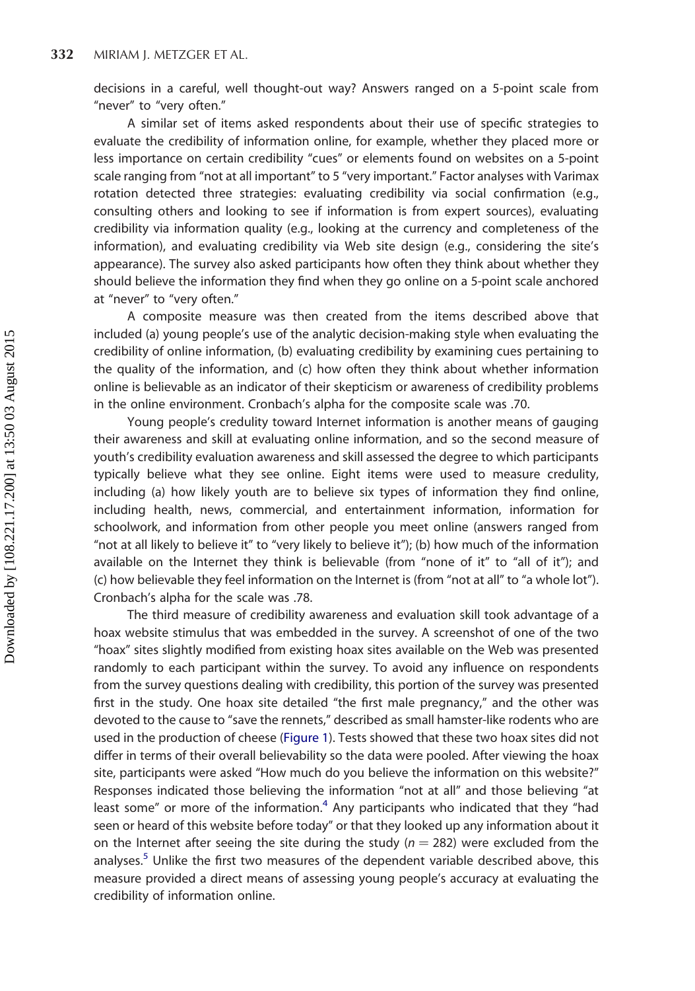decisions in a careful, well thought-out way? Answers ranged on a 5-point scale from "never" to "very often."

A similar set of items asked respondents about their use of specific strategies to evaluate the credibility of information online, for example, whether they placed more or less importance on certain credibility "cues" or elements found on websites on a 5-point scale ranging from "not at all important" to 5 "very important." Factor analyses with Varimax rotation detected three strategies: evaluating credibility via social confirmation (e.g., consulting others and looking to see if information is from expert sources), evaluating credibility via information quality (e.g., looking at the currency and completeness of the information), and evaluating credibility via Web site design (e.g., considering the site's appearance). The survey also asked participants how often they think about whether they should believe the information they find when they go online on a 5-point scale anchored at "never" to "very often."

A composite measure was then created from the items described above that included (a) young people's use of the analytic decision-making style when evaluating the credibility of online information, (b) evaluating credibility by examining cues pertaining to the quality of the information, and (c) how often they think about whether information online is believable as an indicator of their skepticism or awareness of credibility problems in the online environment. Cronbach's alpha for the composite scale was .70.

Young people's credulity toward Internet information is another means of gauging their awareness and skill at evaluating online information, and so the second measure of youth's credibility evaluation awareness and skill assessed the degree to which participants typically believe what they see online. Eight items were used to measure credulity, including (a) how likely youth are to believe six types of information they find online, including health, news, commercial, and entertainment information, information for schoolwork, and information from other people you meet online (answers ranged from "not at all likely to believe it" to "very likely to believe it"); (b) how much of the information available on the Internet they think is believable (from "none of it" to "all of it"); and (c) how believable they feel information on the Internet is (from "not at all" to "a whole lot"). Cronbach's alpha for the scale was .78.

The third measure of credibility awareness and evaluation skill took advantage of a hoax website stimulus that was embedded in the survey. A screenshot of one of the two "hoax" sites slightly modified from existing hoax sites available on the Web was presented randomly to each participant within the survey. To avoid any influence on respondents from the survey questions dealing with credibility, this portion of the survey was presented first in the study. One hoax site detailed "the first male pregnancy," and the other was devoted to the cause to "save the rennets," described as small hamster-like rodents who are used in the production of cheese [\(Figure 1](#page-8-0)). Tests showed that these two hoax sites did not differ in terms of their overall believability so the data were pooled. After viewing the hoax site, participants were asked "How much do you believe the information on this website?" Responses indicated those believing the information "not at all" and those believing "at least some" or more of the information.<sup>[4](#page-18-0)</sup> Any participants who indicated that they "had seen or heard of this website before today" or that they looked up any information about it on the Internet after seeing the site during the study ( $n = 282$ ) were excluded from the analyses.<sup>[5](#page-18-0)</sup> Unlike the first two measures of the dependent variable described above, this measure provided a direct means of assessing young people's accuracy at evaluating the credibility of information online.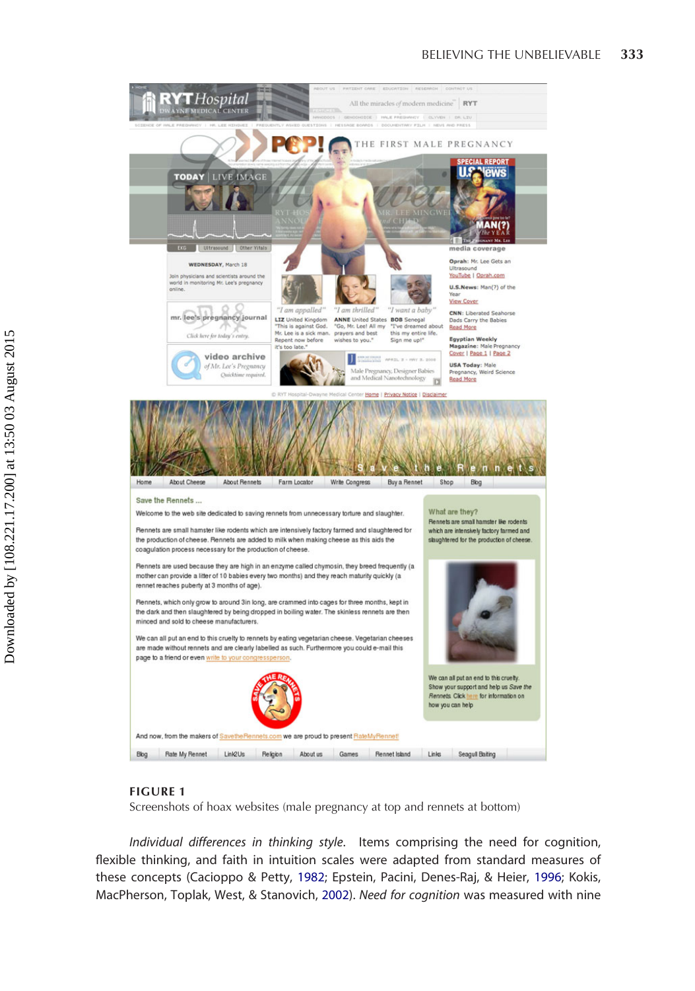<span id="page-8-0"></span>

#### FIGURE 1

Screenshots of hoax websites (male pregnancy at top and rennets at bottom)

Individual differences in thinking style. Items comprising the need for cognition, flexible thinking, and faith in intuition scales were adapted from standard measures of these concepts (Cacioppo & Petty, [1982;](#page-18-0) Epstein, Pacini, Denes-Raj, & Heier, [1996;](#page-19-0) Kokis, MacPherson, Toplak, West, & Stanovich, [2002\)](#page-20-0). Need for cognition was measured with nine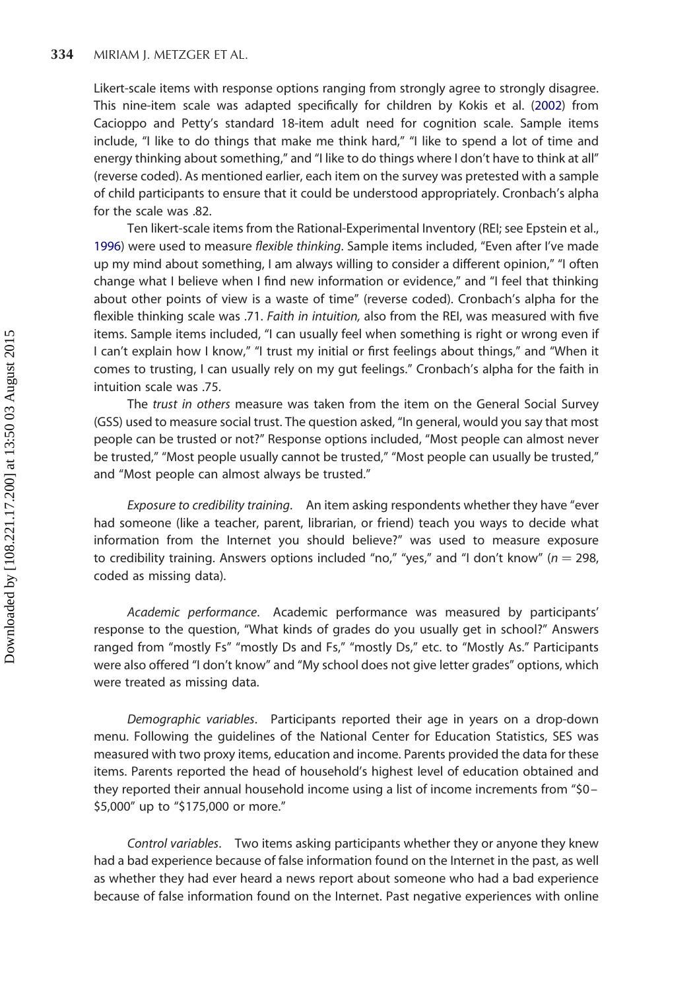Likert-scale items with response options ranging from strongly agree to strongly disagree. This nine-item scale was adapted specifically for children by Kokis et al. ([2002\)](#page-20-0) from Cacioppo and Petty's standard 18-item adult need for cognition scale. Sample items include, "I like to do things that make me think hard," "I like to spend a lot of time and energy thinking about something," and "I like to do things where I don't have to think at all" (reverse coded). As mentioned earlier, each item on the survey was pretested with a sample of child participants to ensure that it could be understood appropriately. Cronbach's alpha for the scale was .82.

Ten likert-scale items from the Rational-Experimental Inventory (REI; see Epstein et al., [1996\)](#page-19-0) were used to measure flexible thinking. Sample items included, "Even after I've made up my mind about something, I am always willing to consider a different opinion," "I often change what I believe when I find new information or evidence," and "I feel that thinking about other points of view is a waste of time" (reverse coded). Cronbach's alpha for the flexible thinking scale was .71. Faith in intuition, also from the REI, was measured with five items. Sample items included, "I can usually feel when something is right or wrong even if I can't explain how I know," "I trust my initial or first feelings about things," and "When it comes to trusting, I can usually rely on my gut feelings." Cronbach's alpha for the faith in intuition scale was .75.

The trust in others measure was taken from the item on the General Social Survey (GSS) used to measure social trust. The question asked, "In general, would you say that most people can be trusted or not?" Response options included, "Most people can almost never be trusted," "Most people usually cannot be trusted," "Most people can usually be trusted," and "Most people can almost always be trusted."

Exposure to credibility training. An item asking respondents whether they have "ever had someone (like a teacher, parent, librarian, or friend) teach you ways to decide what information from the Internet you should believe?" was used to measure exposure to credibility training. Answers options included "no," "yes," and "I don't know" ( $n = 298$ , coded as missing data).

Academic performance. Academic performance was measured by participants' response to the question, "What kinds of grades do you usually get in school?" Answers ranged from "mostly Fs" "mostly Ds and Fs," "mostly Ds," etc. to "Mostly As." Participants were also offered "I don't know" and "My school does not give letter grades" options, which were treated as missing data.

Demographic variables. Participants reported their age in years on a drop-down menu. Following the guidelines of the National Center for Education Statistics, SES was measured with two proxy items, education and income. Parents provided the data for these items. Parents reported the head of household's highest level of education obtained and they reported their annual household income using a list of income increments from "\$0– \$5,000" up to "\$175,000 or more."

Control variables. Two items asking participants whether they or anyone they knew had a bad experience because of false information found on the Internet in the past, as well as whether they had ever heard a news report about someone who had a bad experience because of false information found on the Internet. Past negative experiences with online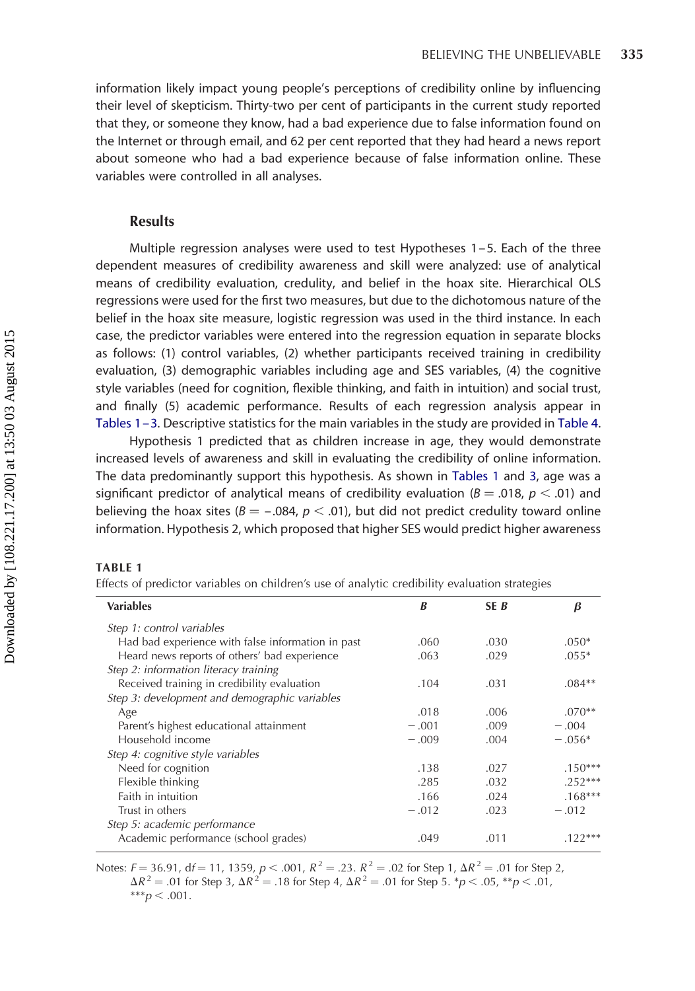information likely impact young people's perceptions of credibility online by influencing their level of skepticism. Thirty-two per cent of participants in the current study reported that they, or someone they know, had a bad experience due to false information found on the Internet or through email, and 62 per cent reported that they had heard a news report about someone who had a bad experience because of false information online. These variables were controlled in all analyses.

#### **Results**

Multiple regression analyses were used to test Hypotheses 1 –5. Each of the three dependent measures of credibility awareness and skill were analyzed: use of analytical means of credibility evaluation, credulity, and belief in the hoax site. Hierarchical OLS regressions were used for the first two measures, but due to the dichotomous nature of the belief in the hoax site measure, logistic regression was used in the third instance. In each case, the predictor variables were entered into the regression equation in separate blocks as follows: (1) control variables, (2) whether participants received training in credibility evaluation, (3) demographic variables including age and SES variables, (4) the cognitive style variables (need for cognition, flexible thinking, and faith in intuition) and social trust, and finally (5) academic performance. Results of each regression analysis appear in Tables 1 –3. Descriptive statistics for the main variables in the study are provided in [Table 4.](#page-12-0)

Hypothesis 1 predicted that as children increase in age, they would demonstrate increased levels of awareness and skill in evaluating the credibility of online information. The data predominantly support this hypothesis. As shown in Tables 1 and [3,](#page-11-0) age was a significant predictor of analytical means of credibility evaluation ( $B = .018$ ,  $p < .01$ ) and believing the hoax sites ( $B = -.084$ ,  $p < .01$ ), but did not predict credulity toward online information. Hypothesis 2, which proposed that higher SES would predict higher awareness

#### TABLE 1

Effects of predictor variables on children's use of analytic credibility evaluation strategies

| <b>Variables</b>                                  | B       | SE B |           |
|---------------------------------------------------|---------|------|-----------|
| Step 1: control variables                         |         |      |           |
| Had bad experience with false information in past | .060    | .030 | $.050*$   |
| Heard news reports of others' bad experience      | .063    | .029 | $.055*$   |
| Step 2: information literacy training             |         |      |           |
| Received training in credibility evaluation       | .104    | .031 | $.084**$  |
| Step 3: development and demographic variables     |         |      |           |
| Age                                               | .018    | .006 | $.070**$  |
| Parent's highest educational attainment           | $-.001$ | .009 | $-.004$   |
| Household income                                  | $-.009$ | .004 | $-.056*$  |
| Step 4: cognitive style variables                 |         |      |           |
| Need for cognition                                | .138    | .027 | $.150***$ |
| Flexible thinking                                 | .285    | .032 | $.252***$ |
| Faith in intuition                                | .166    | .024 | $.168***$ |
| Trust in others                                   | $-.012$ | .023 | $-.012$   |
| Step 5: academic performance                      |         |      |           |
| Academic performance (school grades)              | .049    | .011 | $.122***$ |

Notes:  $F = 36.91$ ,  $df = 11$ , 1359,  $p < .001$ ,  $R^2 = .23$ .  $R^2 = .02$  for Step 1,  $\Delta R^2 = .01$  for Step 2,  $\Delta R^2 = .01$  for Step 3,  $\Delta R^2 = .18$  for Step 4,  $\Delta R^2 = .01$  for Step 5. \*p < .05, \*\*p < .01,  $***p < .001.$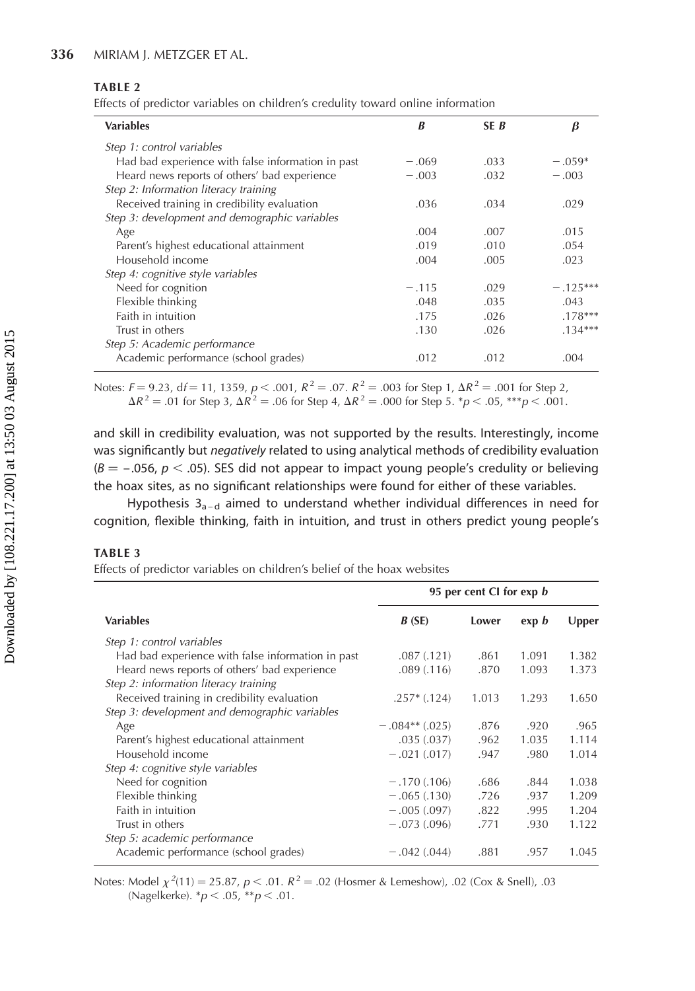#### <span id="page-11-0"></span>TABLE 2

Effects of predictor variables on children's credulity toward online information

| <b>Variables</b>                                  | B       | SE B | ß          |
|---------------------------------------------------|---------|------|------------|
| Step 1: control variables                         |         |      |            |
| Had bad experience with false information in past | $-.069$ | .033 | $-.059*$   |
| Heard news reports of others' bad experience      | $-.003$ | .032 | $-.003$    |
| Step 2: Information literacy training             |         |      |            |
| Received training in credibility evaluation       | .036    | .034 | .029       |
| Step 3: development and demographic variables     |         |      |            |
| Age                                               | .004    | .007 | .015       |
| Parent's highest educational attainment           | .019    | .010 | .054       |
| Household income                                  | .004    | .005 | .023       |
| Step 4: cognitive style variables                 |         |      |            |
| Need for cognition                                | $-.115$ | .029 | $-.125***$ |
| Flexible thinking                                 | .048    | .035 | .043       |
| Faith in intuition                                | .175    | .026 | $.178***$  |
| Trust in others                                   | .130    | .026 | $.134***$  |
| Step 5: Academic performance                      |         |      |            |
| Academic performance (school grades)              | .012    | .012 | .004       |

Notes:  $F = 9.23$ , df = 11, 1359,  $p \le 0.001$ ,  $R^2 = 0.07$ .  $R^2 = 0.003$  for Step 1,  $\Delta R^2 = 0.001$  for Step 2,  $\Delta R^2 = .01$  for Step 3,  $\Delta R^2 = .06$  for Step 4,  $\Delta R^2 = .000$  for Step 5.  $^*p < .05$ ,  $^{***}p < .001$ .

and skill in credibility evaluation, was not supported by the results. Interestingly, income was significantly but negatively related to using analytical methods of credibility evaluation  $(B = -.056, p < .05)$ . SES did not appear to impact young people's credulity or believing the hoax sites, as no significant relationships were found for either of these variables.

Hypothesis  $3_{a-d}$  aimed to understand whether individual differences in need for cognition, flexible thinking, faith in intuition, and trust in others predict young people's

#### TABLE 3

Effects of predictor variables on children's belief of the hoax websites

|                                                   | 95 per cent CI for exp b |       |       |       |
|---------------------------------------------------|--------------------------|-------|-------|-------|
| <b>Variables</b>                                  | B(SE)                    | Lower | exp b | Upper |
| Step 1: control variables                         |                          |       |       |       |
| Had bad experience with false information in past | .087(.121)               | .861  | 1.091 | 1.382 |
| Heard news reports of others' bad experience      | .089(.116)               | .870  | 1.093 | 1.373 |
| Step 2: information literacy training             |                          |       |       |       |
| Received training in credibility evaluation       | $.257*(.124)$            | 1.013 | 1.293 | 1.650 |
| Step 3: development and demographic variables     |                          |       |       |       |
| Age                                               | $-.084**(.025)$          | .876  | .920  | .965  |
| Parent's highest educational attainment           | .035(.037)               | .962  | 1.035 | 1.114 |
| Household income                                  | $-.021(.017)$            | .947  | .980  | 1.014 |
| Step 4: cognitive style variables                 |                          |       |       |       |
| Need for cognition                                | $-.170(.106)$            | .686  | .844  | 1.038 |
| Flexible thinking                                 | $-.065(.130)$            | .726  | .937  | 1.209 |
| Faith in intuition                                | $-.005(.097)$            | .822  | .995  | 1.204 |
| Trust in others                                   | $-.073(.096)$            | .771  | .930  | 1.122 |
| Step 5: academic performance                      |                          |       |       |       |
| Academic performance (school grades)              | $-.042(.044)$            | .881  | .957  | 1.045 |

Notes: Model  $\chi^2(11) = 25.87$ ,  $p < .01$ .  $R^2 = .02$  (Hosmer & Lemeshow), .02 (Cox & Snell), .03 (Nagelkerke).  $*p < .05$ ,  $*p < .01$ .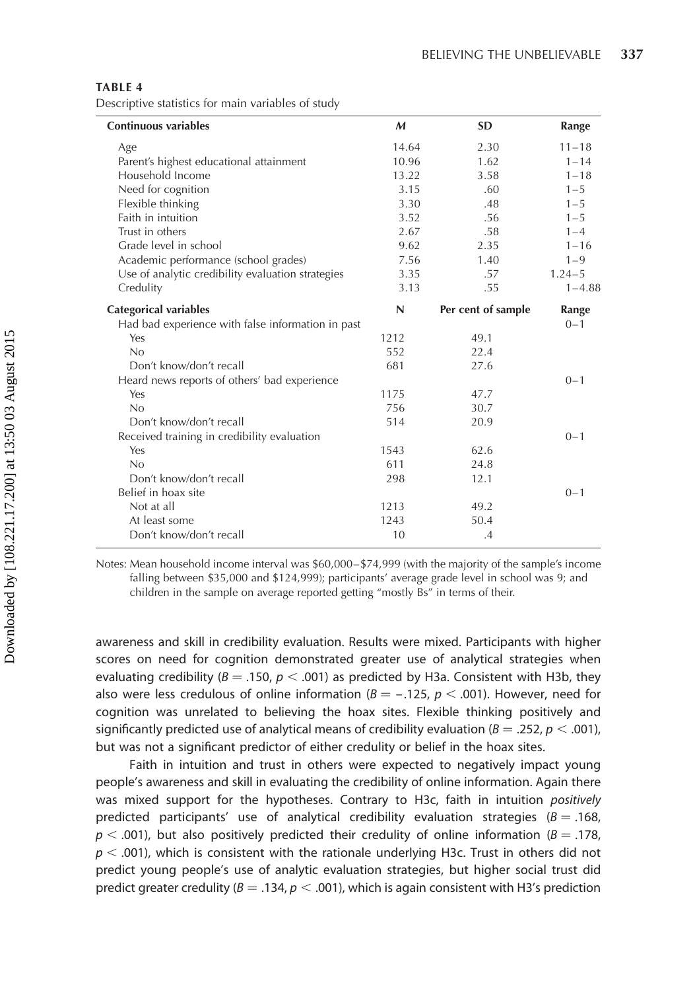<span id="page-12-0"></span>

| e e<br>×<br>٠ |  |  |  |  |
|---------------|--|--|--|--|
|---------------|--|--|--|--|

Descriptive statistics for main variables of study

| <b>Continuous variables</b>                                                       | $\boldsymbol{\mathcal{M}}$ | <b>SD</b>          | Range             |
|-----------------------------------------------------------------------------------|----------------------------|--------------------|-------------------|
| Age                                                                               | 14.64                      | 2.30               | $11 - 18$         |
| Parent's highest educational attainment                                           | 10.96                      | 1.62               | $1 - 14$          |
| Household Income                                                                  | 13.22                      | 3.58               | $1 - 18$          |
| Need for cognition                                                                | 3.15                       | .60                | $1 - 5$           |
| Flexible thinking                                                                 | 3.30                       | .48                | $1 - 5$           |
| Faith in intuition                                                                | 3.52                       | .56                | $1 - 5$           |
| Trust in others                                                                   | 2.67                       | .58                | $1 - 4$           |
| Grade level in school                                                             | 9.62                       | 2.35               | $1 - 16$          |
| Academic performance (school grades)                                              | 7.56                       | 1.40               | $1 - 9$           |
| Use of analytic credibility evaluation strategies                                 | 3.35                       | .57                | $1.24 - 5$        |
| Credulity                                                                         | 3.13                       | .55                | $1 - 4.88$        |
| <b>Categorical variables</b><br>Had bad experience with false information in past | N                          | Per cent of sample | Range<br>$() - 1$ |
| Yes                                                                               | 1212                       | 49.1               |                   |
| No                                                                                | 552                        | 22.4               |                   |
| Don't know/don't recall                                                           | 681                        | 27.6               |                   |
| Heard news reports of others' bad experience                                      |                            |                    | $0 - 1$           |
| Yes                                                                               | 1175                       | 47.7               |                   |
| No                                                                                | 756                        | 30.7               |                   |
| Don't know/don't recall                                                           | 514                        | 20.9               |                   |
| Received training in credibility evaluation                                       |                            |                    | $0 - 1$           |
| Yes                                                                               | 1543                       | 62.6               |                   |
| No                                                                                | 611                        | 24.8               |                   |
| Don't know/don't recall                                                           | 298                        | 12.1               |                   |
| Belief in hoax site                                                               |                            |                    | $0 - 1$           |
| Not at all                                                                        | 1213                       | 49.2               |                   |
| At least some                                                                     | 1243                       | 50.4               |                   |
| Don't know/don't recall                                                           | 10                         | .4                 |                   |

Notes: Mean household income interval was \$60,000–\$74,999 (with the majority of the sample's income falling between \$35,000 and \$124,999); participants' average grade level in school was 9; and children in the sample on average reported getting "mostly Bs" in terms of their.

awareness and skill in credibility evaluation. Results were mixed. Participants with higher scores on need for cognition demonstrated greater use of analytical strategies when evaluating credibility ( $B = .150$ ,  $p < .001$ ) as predicted by H3a. Consistent with H3b, they also were less credulous of online information ( $B = -0.125$ ,  $p < .001$ ). However, need for cognition was unrelated to believing the hoax sites. Flexible thinking positively and significantly predicted use of analytical means of credibility evaluation ( $B = .252$ ,  $p < .001$ ), but was not a significant predictor of either credulity or belief in the hoax sites.

Faith in intuition and trust in others were expected to negatively impact young people's awareness and skill in evaluating the credibility of online information. Again there was mixed support for the hypotheses. Contrary to H3c, faith in intuition positively predicted participants' use of analytical credibility evaluation strategies ( $B = .168$ ,  $p < .001$ ), but also positively predicted their credulity of online information ( $B = .178$ ,  $p < .001$ ), which is consistent with the rationale underlying H3c. Trust in others did not predict young people's use of analytic evaluation strategies, but higher social trust did predict greater credulity ( $B = .134$ ,  $p < .001$ ), which is again consistent with H3's prediction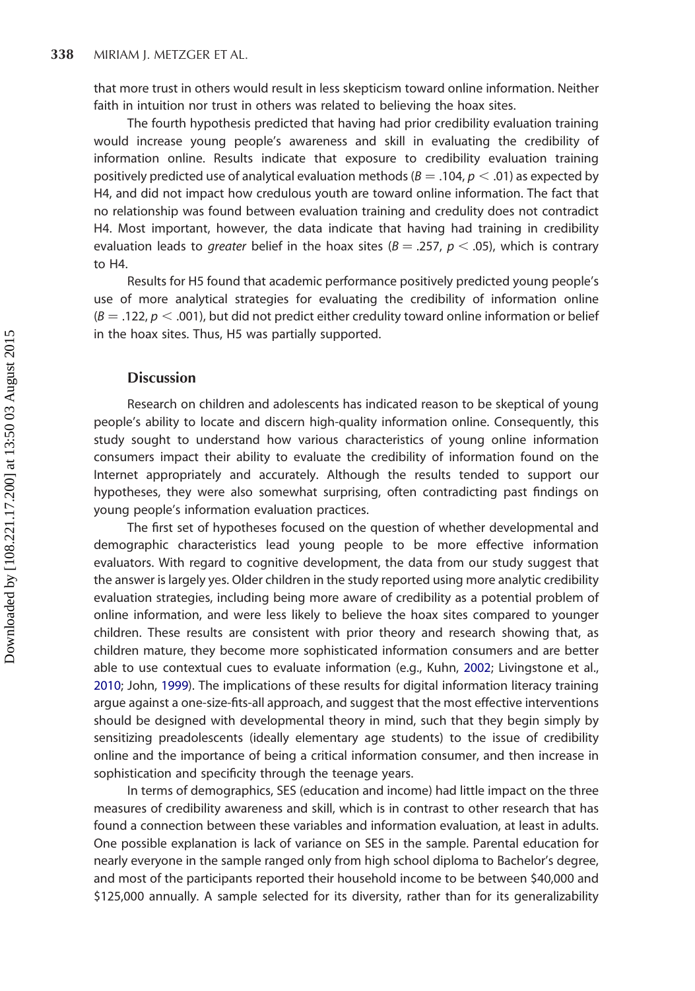that more trust in others would result in less skepticism toward online information. Neither faith in intuition nor trust in others was related to believing the hoax sites.

The fourth hypothesis predicted that having had prior credibility evaluation training would increase young people's awareness and skill in evaluating the credibility of information online. Results indicate that exposure to credibility evaluation training positively predicted use of analytical evaluation methods ( $B = .104$ ,  $p < .01$ ) as expected by H4, and did not impact how credulous youth are toward online information. The fact that no relationship was found between evaluation training and credulity does not contradict H4. Most important, however, the data indicate that having had training in credibility evaluation leads to *greater* belief in the hoax sites ( $B = .257$ ,  $p < .05$ ), which is contrary to H4.

Results for H5 found that academic performance positively predicted young people's use of more analytical strategies for evaluating the credibility of information online  $(B = .122, p < .001)$ , but did not predict either credulity toward online information or belief in the hoax sites. Thus, H5 was partially supported.

#### **Discussion**

Research on children and adolescents has indicated reason to be skeptical of young people's ability to locate and discern high-quality information online. Consequently, this study sought to understand how various characteristics of young online information consumers impact their ability to evaluate the credibility of information found on the Internet appropriately and accurately. Although the results tended to support our hypotheses, they were also somewhat surprising, often contradicting past findings on young people's information evaluation practices.

The first set of hypotheses focused on the question of whether developmental and demographic characteristics lead young people to be more effective information evaluators. With regard to cognitive development, the data from our study suggest that the answer is largely yes. Older children in the study reported using more analytic credibility evaluation strategies, including being more aware of credibility as a potential problem of online information, and were less likely to believe the hoax sites compared to younger children. These results are consistent with prior theory and research showing that, as children mature, they become more sophisticated information consumers and are better able to use contextual cues to evaluate information (e.g., Kuhn, [2002;](#page-20-0) Livingstone et al., [2010;](#page-20-0) John, [1999\)](#page-20-0). The implications of these results for digital information literacy training argue against a one-size-fits-all approach, and suggest that the most effective interventions should be designed with developmental theory in mind, such that they begin simply by sensitizing preadolescents (ideally elementary age students) to the issue of credibility online and the importance of being a critical information consumer, and then increase in sophistication and specificity through the teenage years.

In terms of demographics, SES (education and income) had little impact on the three measures of credibility awareness and skill, which is in contrast to other research that has found a connection between these variables and information evaluation, at least in adults. One possible explanation is lack of variance on SES in the sample. Parental education for nearly everyone in the sample ranged only from high school diploma to Bachelor's degree, and most of the participants reported their household income to be between \$40,000 and \$125,000 annually. A sample selected for its diversity, rather than for its generalizability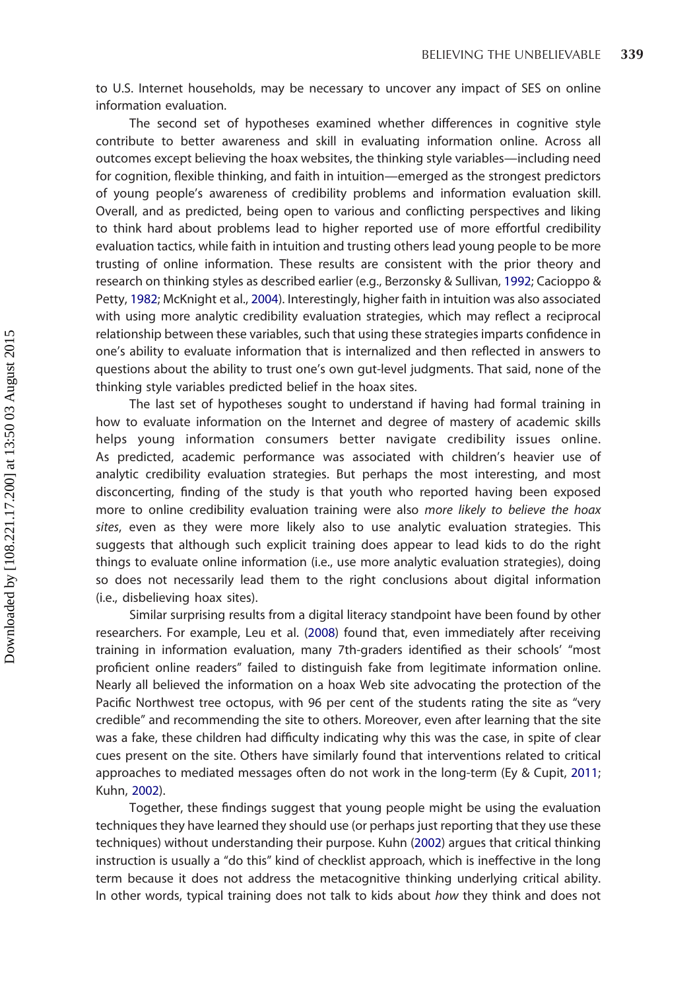to U.S. Internet households, may be necessary to uncover any impact of SES on online information evaluation.

The second set of hypotheses examined whether differences in cognitive style contribute to better awareness and skill in evaluating information online. Across all outcomes except believing the hoax websites, the thinking style variables—including need for cognition, flexible thinking, and faith in intuition—emerged as the strongest predictors of young people's awareness of credibility problems and information evaluation skill. Overall, and as predicted, being open to various and conflicting perspectives and liking to think hard about problems lead to higher reported use of more effortful credibility evaluation tactics, while faith in intuition and trusting others lead young people to be more trusting of online information. These results are consistent with the prior theory and research on thinking styles as described earlier (e.g., Berzonsky & Sullivan, [1992](#page-18-0); Cacioppo & Petty, [1982;](#page-18-0) McKnight et al., [2004\)](#page-21-0). Interestingly, higher faith in intuition was also associated with using more analytic credibility evaluation strategies, which may reflect a reciprocal relationship between these variables, such that using these strategies imparts confidence in one's ability to evaluate information that is internalized and then reflected in answers to questions about the ability to trust one's own gut-level judgments. That said, none of the thinking style variables predicted belief in the hoax sites.

The last set of hypotheses sought to understand if having had formal training in how to evaluate information on the Internet and degree of mastery of academic skills helps young information consumers better navigate credibility issues online. As predicted, academic performance was associated with children's heavier use of analytic credibility evaluation strategies. But perhaps the most interesting, and most disconcerting, finding of the study is that youth who reported having been exposed more to online credibility evaluation training were also more likely to believe the hoax sites, even as they were more likely also to use analytic evaluation strategies. This suggests that although such explicit training does appear to lead kids to do the right things to evaluate online information (i.e., use more analytic evaluation strategies), doing so does not necessarily lead them to the right conclusions about digital information (i.e., disbelieving hoax sites).

Similar surprising results from a digital literacy standpoint have been found by other researchers. For example, Leu et al. ([2008\)](#page-20-0) found that, even immediately after receiving training in information evaluation, many 7th-graders identified as their schools' "most proficient online readers" failed to distinguish fake from legitimate information online. Nearly all believed the information on a hoax Web site advocating the protection of the Pacific Northwest tree octopus, with 96 per cent of the students rating the site as "very credible" and recommending the site to others. Moreover, even after learning that the site was a fake, these children had difficulty indicating why this was the case, in spite of clear cues present on the site. Others have similarly found that interventions related to critical approaches to mediated messages often do not work in the long-term (Ey & Cupit, [2011;](#page-19-0) Kuhn, [2002\)](#page-20-0).

Together, these findings suggest that young people might be using the evaluation techniques they have learned they should use (or perhaps just reporting that they use these techniques) without understanding their purpose. Kuhn [\(2002\)](#page-20-0) argues that critical thinking instruction is usually a "do this" kind of checklist approach, which is ineffective in the long term because it does not address the metacognitive thinking underlying critical ability. In other words, typical training does not talk to kids about how they think and does not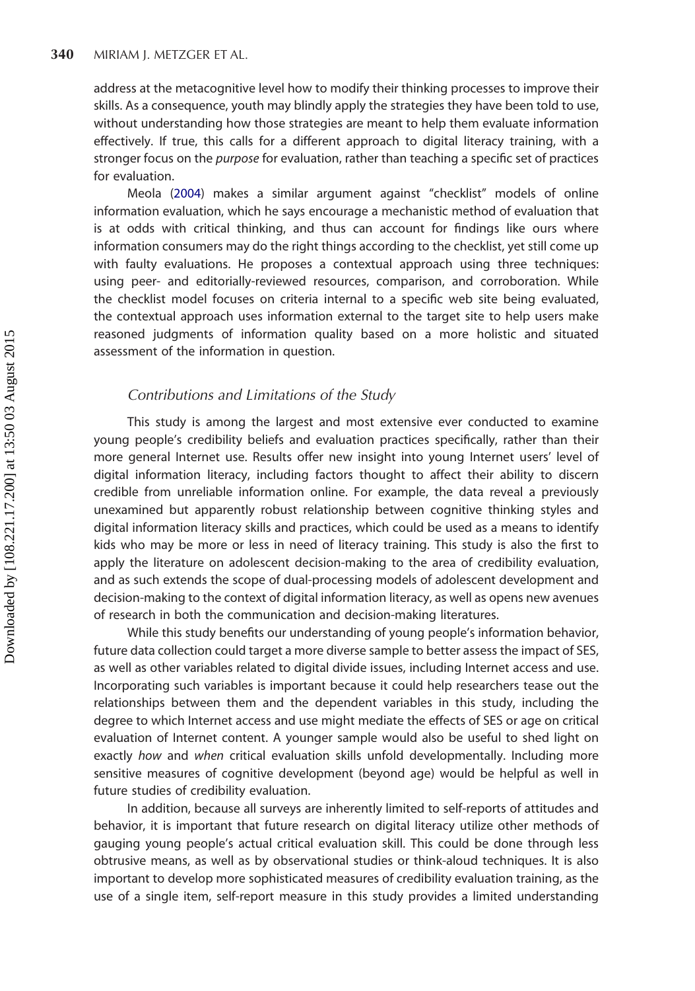address at the metacognitive level how to modify their thinking processes to improve their skills. As a consequence, youth may blindly apply the strategies they have been told to use, without understanding how those strategies are meant to help them evaluate information effectively. If true, this calls for a different approach to digital literacy training, with a stronger focus on the *purpose* for evaluation, rather than teaching a specific set of practices for evaluation.

Meola [\(2004\)](#page-21-0) makes a similar argument against "checklist" models of online information evaluation, which he says encourage a mechanistic method of evaluation that is at odds with critical thinking, and thus can account for findings like ours where information consumers may do the right things according to the checklist, yet still come up with faulty evaluations. He proposes a contextual approach using three techniques: using peer- and editorially-reviewed resources, comparison, and corroboration. While the checklist model focuses on criteria internal to a specific web site being evaluated, the contextual approach uses information external to the target site to help users make reasoned judgments of information quality based on a more holistic and situated assessment of the information in question.

### Contributions and Limitations of the Study

This study is among the largest and most extensive ever conducted to examine young people's credibility beliefs and evaluation practices specifically, rather than their more general Internet use. Results offer new insight into young Internet users' level of digital information literacy, including factors thought to affect their ability to discern credible from unreliable information online. For example, the data reveal a previously unexamined but apparently robust relationship between cognitive thinking styles and digital information literacy skills and practices, which could be used as a means to identify kids who may be more or less in need of literacy training. This study is also the first to apply the literature on adolescent decision-making to the area of credibility evaluation, and as such extends the scope of dual-processing models of adolescent development and decision-making to the context of digital information literacy, as well as opens new avenues of research in both the communication and decision-making literatures.

While this study benefits our understanding of young people's information behavior, future data collection could target a more diverse sample to better assess the impact of SES, as well as other variables related to digital divide issues, including Internet access and use. Incorporating such variables is important because it could help researchers tease out the relationships between them and the dependent variables in this study, including the degree to which Internet access and use might mediate the effects of SES or age on critical evaluation of Internet content. A younger sample would also be useful to shed light on exactly how and when critical evaluation skills unfold developmentally. Including more sensitive measures of cognitive development (beyond age) would be helpful as well in future studies of credibility evaluation.

In addition, because all surveys are inherently limited to self-reports of attitudes and behavior, it is important that future research on digital literacy utilize other methods of gauging young people's actual critical evaluation skill. This could be done through less obtrusive means, as well as by observational studies or think-aloud techniques. It is also important to develop more sophisticated measures of credibility evaluation training, as the use of a single item, self-report measure in this study provides a limited understanding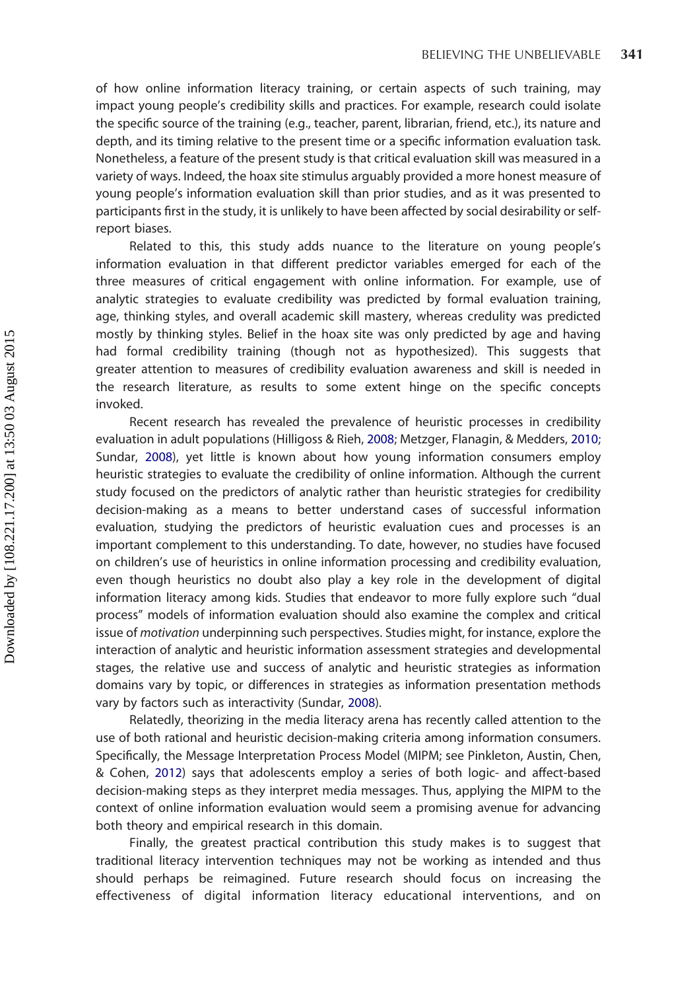of how online information literacy training, or certain aspects of such training, may impact young people's credibility skills and practices. For example, research could isolate the specific source of the training (e.g., teacher, parent, librarian, friend, etc.), its nature and depth, and its timing relative to the present time or a specific information evaluation task. Nonetheless, a feature of the present study is that critical evaluation skill was measured in a variety of ways. Indeed, the hoax site stimulus arguably provided a more honest measure of young people's information evaluation skill than prior studies, and as it was presented to participants first in the study, it is unlikely to have been affected by social desirability or selfreport biases.

Related to this, this study adds nuance to the literature on young people's information evaluation in that different predictor variables emerged for each of the three measures of critical engagement with online information. For example, use of analytic strategies to evaluate credibility was predicted by formal evaluation training, age, thinking styles, and overall academic skill mastery, whereas credulity was predicted mostly by thinking styles. Belief in the hoax site was only predicted by age and having had formal credibility training (though not as hypothesized). This suggests that greater attention to measures of credibility evaluation awareness and skill is needed in the research literature, as results to some extent hinge on the specific concepts invoked.

Recent research has revealed the prevalence of heuristic processes in credibility evaluation in adult populations (Hilligoss & Rieh, [2008;](#page-19-0) Metzger, Flanagin, & Medders, [2010;](#page-21-0) Sundar, [2008](#page-22-0)), yet little is known about how young information consumers employ heuristic strategies to evaluate the credibility of online information. Although the current study focused on the predictors of analytic rather than heuristic strategies for credibility decision-making as a means to better understand cases of successful information evaluation, studying the predictors of heuristic evaluation cues and processes is an important complement to this understanding. To date, however, no studies have focused on children's use of heuristics in online information processing and credibility evaluation, even though heuristics no doubt also play a key role in the development of digital information literacy among kids. Studies that endeavor to more fully explore such "dual process" models of information evaluation should also examine the complex and critical issue of motivation underpinning such perspectives. Studies might, for instance, explore the interaction of analytic and heuristic information assessment strategies and developmental stages, the relative use and success of analytic and heuristic strategies as information domains vary by topic, or differences in strategies as information presentation methods vary by factors such as interactivity (Sundar, [2008](#page-22-0)).

Relatedly, theorizing in the media literacy arena has recently called attention to the use of both rational and heuristic decision-making criteria among information consumers. Specifically, the Message Interpretation Process Model (MIPM; see Pinkleton, Austin, Chen, & Cohen, [2012](#page-21-0)) says that adolescents employ a series of both logic- and affect-based decision-making steps as they interpret media messages. Thus, applying the MIPM to the context of online information evaluation would seem a promising avenue for advancing both theory and empirical research in this domain.

Finally, the greatest practical contribution this study makes is to suggest that traditional literacy intervention techniques may not be working as intended and thus should perhaps be reimagined. Future research should focus on increasing the effectiveness of digital information literacy educational interventions, and on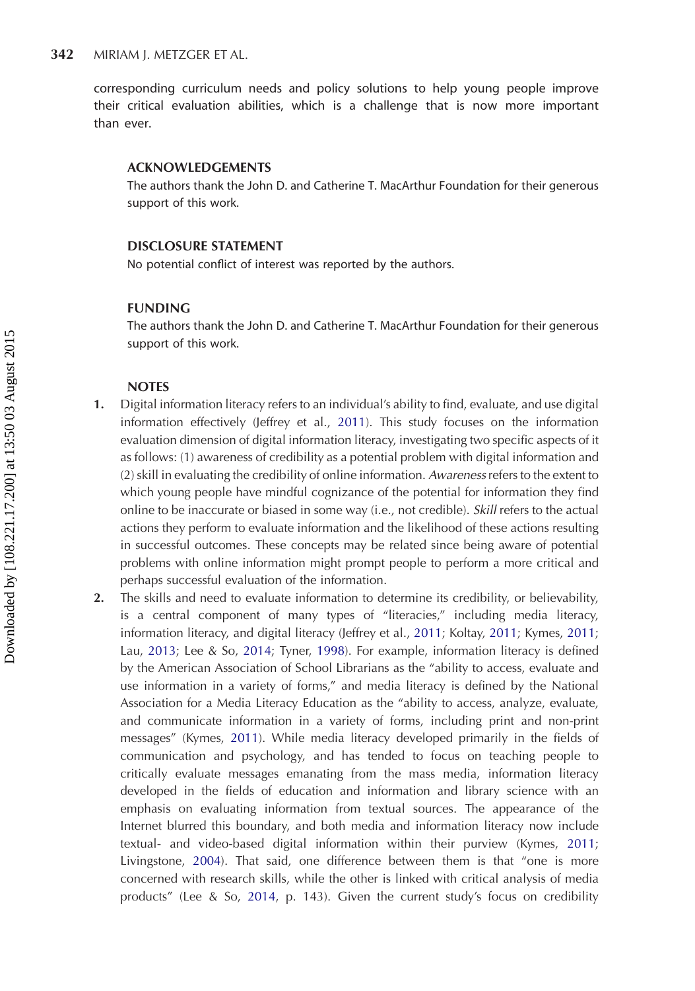<span id="page-17-0"></span>corresponding curriculum needs and policy solutions to help young people improve their critical evaluation abilities, which is a challenge that is now more important than ever.

#### ACKNOWLEDGEMENTS

The authors thank the John D. and Catherine T. MacArthur Foundation for their generous support of this work.

#### DISCLOSURE STATEMENT

No potential conflict of interest was reported by the authors.

#### **FUNDING**

The authors thank the John D. and Catherine T. MacArthur Foundation for their generous support of this work.

#### **NOTES**

- 1. Digital information literacy refers to an individual's ability to find, evaluate, and use digital information effectively (leffrey et al., [2011\)](#page-20-0). This study focuses on the information evaluation dimension of digital information literacy, investigating two specific aspects of it as follows: (1) awareness of credibility as a potential problem with digital information and (2) skill in evaluating the credibility of online information. Awareness refers to the extent to which young people have mindful cognizance of the potential for information they find online to be inaccurate or biased in some way (i.e., not credible). Skill refers to the actual actions they perform to evaluate information and the likelihood of these actions resulting in successful outcomes. These concepts may be related since being aware of potential problems with online information might prompt people to perform a more critical and perhaps successful evaluation of the information.
- 2. The skills and need to evaluate information to determine its credibility, or believability, is a central component of many types of "literacies," including media literacy, information literacy, and digital literacy (Jeffrey et al., [2011;](#page-20-0) Koltay, [2011](#page-20-0); Kymes, [2011;](#page-20-0) Lau, [2013](#page-20-0); Lee & So, [2014;](#page-20-0) Tyner, [1998\)](#page-22-0). For example, information literacy is defined by the American Association of School Librarians as the "ability to access, evaluate and use information in a variety of forms," and media literacy is defined by the National Association for a Media Literacy Education as the "ability to access, analyze, evaluate, and communicate information in a variety of forms, including print and non-print messages" (Kymes, [2011\)](#page-20-0). While media literacy developed primarily in the fields of communication and psychology, and has tended to focus on teaching people to critically evaluate messages emanating from the mass media, information literacy developed in the fields of education and information and library science with an emphasis on evaluating information from textual sources. The appearance of the Internet blurred this boundary, and both media and information literacy now include textual- and video-based digital information within their purview (Kymes, [2011;](#page-20-0) Livingstone, [2004\)](#page-20-0). That said, one difference between them is that "one is more concerned with research skills, while the other is linked with critical analysis of media products" (Lee & So, [2014,](#page-20-0) p. 143). Given the current study's focus on credibility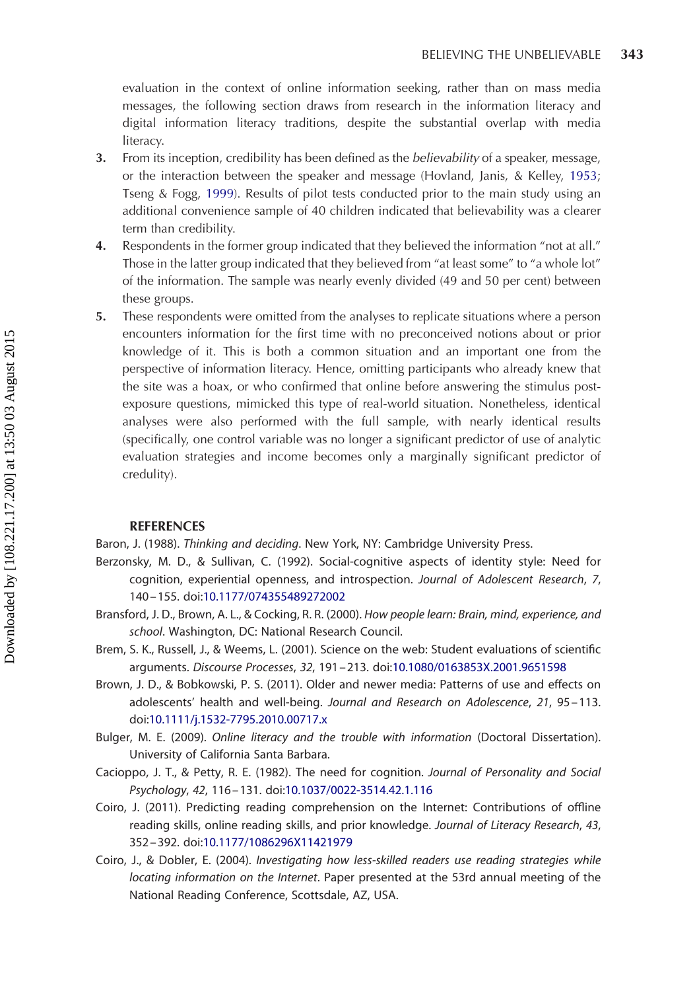<span id="page-18-0"></span>evaluation in the context of online information seeking, rather than on mass media messages, the following section draws from research in the information literacy and digital information literacy traditions, despite the substantial overlap with media literacy.

- 3. From its inception, credibility has been defined as the *believability* of a speaker, message, or the interaction between the speaker and message (Hovland, Janis, & Kelley, [1953](#page-19-0); Tseng & Fogg, [1999\)](#page-22-0). Results of pilot tests conducted prior to the main study using an additional convenience sample of 40 children indicated that believability was a clearer term than credibility.
- 4. Respondents in the former group indicated that they believed the information "not at all." Those in the latter group indicated that they believed from "at least some" to "a whole lot" of the information. The sample was nearly evenly divided (49 and 50 per cent) between these groups.
- 5. These respondents were omitted from the analyses to replicate situations where a person encounters information for the first time with no preconceived notions about or prior knowledge of it. This is both a common situation and an important one from the perspective of information literacy. Hence, omitting participants who already knew that the site was a hoax, or who confirmed that online before answering the stimulus postexposure questions, mimicked this type of real-world situation. Nonetheless, identical analyses were also performed with the full sample, with nearly identical results (specifically, one control variable was no longer a significant predictor of use of analytic evaluation strategies and income becomes only a marginally significant predictor of credulity).

#### **REFERENCES**

Baron, J. (1988). Thinking and deciding. New York, NY: Cambridge University Press.

- Berzonsky, M. D., & Sullivan, C. (1992). Social-cognitive aspects of identity style: Need for cognition, experiential openness, and introspection. Journal of Adolescent Research, 7, 140 –155. doi[:10.1177/074355489272002](http://dx.doi.org/doi:10.1177/074355489272002)
- Bransford, J. D., Brown, A. L., & Cocking, R. R. (2000). How people learn: Brain, mind, experience, and school. Washington, DC: National Research Council.
- Brem, S. K., Russell, J., & Weems, L. (2001). Science on the web: Student evaluations of scientific arguments. Discourse Processes, 32, 191 –213. doi:[10.1080/0163853X.2001.9651598](http://dx.doi.org/10.1080/0163853X.2001.9651598)
- Brown, J. D., & Bobkowski, P. S. (2011). Older and newer media: Patterns of use and effects on adolescents' health and well-being. Journal and Research on Adolescence, 21, 95–113. doi:[10.1111/j.1532-7795.2010.00717.x](http://dx.doi.org/10.1111/j.1532-7795.2010.00717.x)
- Bulger, M. E. (2009). Online literacy and the trouble with information (Doctoral Dissertation). University of California Santa Barbara.
- Cacioppo, J. T., & Petty, R. E. (1982). The need for cognition. Journal of Personality and Social Psychology, 42, 116 –131. doi[:10.1037/0022-3514.42.1.116](http://dx.doi.org/doi:10.1037/0022-3514.42.1.116)
- Coiro, J. (2011). Predicting reading comprehension on the Internet: Contributions of offline reading skills, online reading skills, and prior knowledge. Journal of Literacy Research, 43, 352 –392. doi[:10.1177/1086296X11421979](http://dx.doi.org/10.1177/1086296X11421979)
- Coiro, J., & Dobler, E. (2004). Investigating how less-skilled readers use reading strategies while locating information on the Internet. Paper presented at the 53rd annual meeting of the National Reading Conference, Scottsdale, AZ, USA.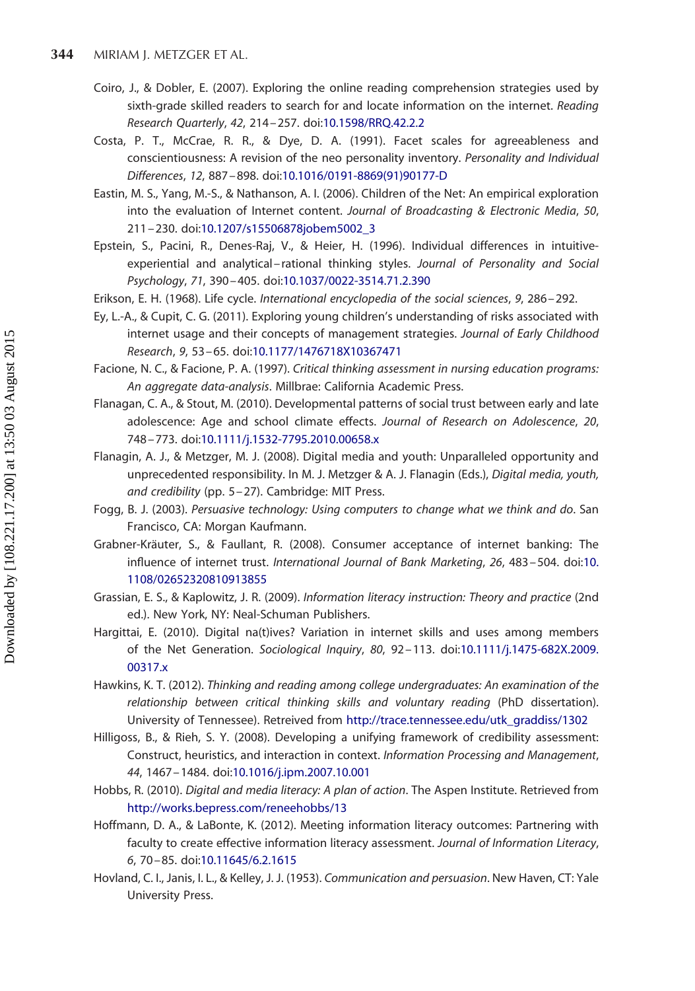- <span id="page-19-0"></span>Coiro, J., & Dobler, E. (2007). Exploring the online reading comprehension strategies used by sixth-grade skilled readers to search for and locate information on the internet. Reading Research Quarterly, 42, 214 –257. doi[:10.1598/RRQ.42.2.2](http://dx.doi.org/10.1598/RRQ.42.2.2)
- Costa, P. T., McCrae, R. R., & Dye, D. A. (1991). Facet scales for agreeableness and conscientiousness: A revision of the neo personality inventory. Personality and Individual Differences, 12, 887 –898. doi[:10.1016/0191-8869\(91\)90177-D](http://dx.doi.org/doi:10.1016/0191-8869(91)90177-D)
- Eastin, M. S., Yang, M.-S., & Nathanson, A. I. (2006). Children of the Net: An empirical exploration into the evaluation of Internet content. Journal of Broadcastina & Electronic Media, 50, 211 –230. doi:[10.1207/s15506878jobem5002\\_3](http://dx.doi.org/10.1207/s15506878jobem5002_3)
- Epstein, S., Pacini, R., Denes-Raj, V., & Heier, H. (1996). Individual differences in intuitiveexperiential and analytical-rational thinking styles. Journal of Personality and Social Psychology, 71, 390 –405. doi:[10.1037/0022-3514.71.2.390](http://dx.doi.org/10.1037/0022-3514.71.2.390)
- Erikson, E. H. (1968). Life cycle. International encyclopedia of the social sciences, 9, 286 –292.
- Ey, L.-A., & Cupit, C. G. (2011). Exploring young children's understanding of risks associated with internet usage and their concepts of management strategies. Journal of Early Childhood Research, 9, 53–65. doi[:10.1177/1476718X10367471](http://dx.doi.org/10.1177/1476718X10367471)
- Facione, N. C., & Facione, P. A. (1997). Critical thinking assessment in nursing education programs: An aggregate data-analysis. Millbrae: California Academic Press.
- Flanagan, C. A., & Stout, M. (2010). Developmental patterns of social trust between early and late adolescence: Age and school climate effects. Journal of Research on Adolescence, 20, 748 –773. doi:[10.1111/j.1532-7795.2010.00658.x](http://dx.doi.org/doi:10.1111/j.1532-7795.2010.00658.x)
- Flanagin, A. J., & Metzger, M. J. (2008). Digital media and youth: Unparalleled opportunity and unprecedented responsibility. In M. J. Metzger & A. J. Flanagin (Eds.), Digital media, youth, and credibility (pp. 5–27). Cambridge: MIT Press.
- Fogg, B. J. (2003). Persuasive technology: Using computers to change what we think and do. San Francisco, CA: Morgan Kaufmann.
- Grabner-Kräuter, S., & Faullant, R. (2008). Consumer acceptance of internet banking: The influence of internet trust. International Journal of Bank Marketing, 26, 483 –504. doi[:10.](http://dx.doi.org/doi:10.1108/02652320810913855) [1108/02652320810913855](http://dx.doi.org/doi:10.1108/02652320810913855)
- Grassian, E. S., & Kaplowitz, J. R. (2009). Information literacy instruction: Theory and practice (2nd ed.). New York, NY: Neal-Schuman Publishers.
- Hargittai, E. (2010). Digital na(t)ives? Variation in internet skills and uses among members of the Net Generation. Sociological Inquiry, 80, 92–113. doi:[10.1111/j.1475-682X.2009.](http://dx.doi.org/10.1111/j.1475-682X.2009.00317.x) [00317.x](http://dx.doi.org/10.1111/j.1475-682X.2009.00317.x)
- Hawkins, K. T. (2012). Thinking and reading among college undergraduates: An examination of the relationship between critical thinking skills and voluntary reading (PhD dissertation). University of Tennessee). Retreived from [http://trace.tennessee.edu/utk\\_graddiss/1302](http://trace.tennessee.edu/utk_graddiss/1302)
- Hilligoss, B., & Rieh, S. Y. (2008). Developing a unifying framework of credibility assessment: Construct, heuristics, and interaction in context. Information Processing and Management, 44, 1467–1484. doi[:10.1016/j.ipm.2007.10.001](http://dx.doi.org/10.1016/j.ipm.2007.10.001)
- Hobbs, R. (2010). Digital and media literacy: A plan of action. The Aspen Institute. Retrieved from <http://works.bepress.com/reneehobbs/13>
- Hoffmann, D. A., & LaBonte, K. (2012). Meeting information literacy outcomes: Partnering with faculty to create effective information literacy assessment. Journal of Information Literacy, 6, 70 –85. doi[:10.11645/6.2.1615](http://dx.doi.org/10.11645/6.2.1615)
- Hovland, C. I., Janis, I. L., & Kelley, J. J. (1953). Communication and persuasion. New Haven, CT: Yale University Press.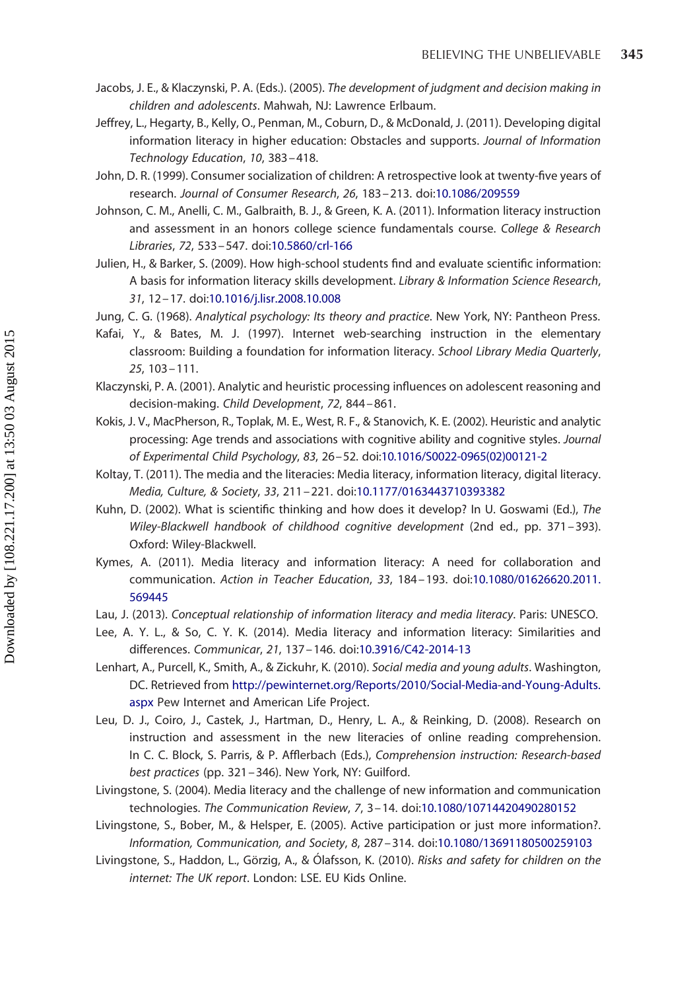- <span id="page-20-0"></span>Jacobs, J. E., & Klaczynski, P. A. (Eds.). (2005). The development of judgment and decision making in children and adolescents. Mahwah, NJ: Lawrence Erlbaum.
- Jeffrey, L., Hegarty, B., Kelly, O., Penman, M., Coburn, D., & McDonald, J. (2011). Developing digital information literacy in higher education: Obstacles and supports. Journal of Information Technology Education, 10, 383 –418.
- John, D. R. (1999). Consumer socialization of children: A retrospective look at twenty-five years of research. Journal of Consumer Research, 26, 183 –213. doi[:10.1086/209559](http://dx.doi.org/10.1086/209559)
- Johnson, C. M., Anelli, C. M., Galbraith, B. J., & Green, K. A. (2011). Information literacy instruction and assessment in an honors college science fundamentals course. College & Research Libraries, 72, 533 –547. doi:[10.5860/crl-166](http://dx.doi.org/10.5860/crl-166)
- Julien, H., & Barker, S. (2009). How high-school students find and evaluate scientific information: A basis for information literacy skills development. Library & Information Science Research, 31, 12–17. doi[:10.1016/j.lisr.2008.10.008](http://dx.doi.org/10.1016/j.lisr.2008.10.008)

Jung, C. G. (1968). Analytical psychology: Its theory and practice. New York, NY: Pantheon Press.

- Kafai, Y., & Bates, M. J. (1997). Internet web-searching instruction in the elementary classroom: Building a foundation for information literacy. School Library Media Quarterly, 25, 103 –111.
- Klaczynski, P. A. (2001). Analytic and heuristic processing influences on adolescent reasoning and decision-making. Child Development, 72, 844 –861.
- Kokis, J. V., MacPherson, R., Toplak, M. E., West, R. F., & Stanovich, K. E. (2002). Heuristic and analytic processing: Age trends and associations with cognitive ability and cognitive styles. Journal of Experimental Child Psychology, 83, 26–52. doi:[10.1016/S0022-0965\(02\)00121-2](http://dx.doi.org/10.1016/S0022-0965(02)00121-2)
- Koltay, T. (2011). The media and the literacies: Media literacy, information literacy, digital literacy. Media, Culture, & Society, 33, 211 –221. doi[:10.1177/0163443710393382](http://dx.doi.org/10.1177/0163443710393382)
- Kuhn, D. (2002). What is scientific thinking and how does it develop? In U. Goswami (Ed.), The Wiley-Blackwell handbook of childhood cognitive development (2nd ed., pp. 371-393). Oxford: Wiley-Blackwell.
- Kymes, A. (2011). Media literacy and information literacy: A need for collaboration and communication. Action in Teacher Education, 33, 184 –193. doi:[10.1080/01626620.2011.](http://dx.doi.org/10.1080/01626620.2011.569445) [569445](http://dx.doi.org/10.1080/01626620.2011.569445)
- Lau, J. (2013). Conceptual relationship of information literacy and media literacy. Paris: UNESCO.
- Lee, A. Y. L., & So, C. Y. K. (2014). Media literacy and information literacy: Similarities and differences. Communicar, 21, 137 –146. doi:[10.3916/C42-2014-13](http://dx.doi.org/10.3916/C42-2014-13)
- Lenhart, A., Purcell, K., Smith, A., & Zickuhr, K. (2010). Social media and young adults. Washington, DC. Retrieved from [http://pewinternet.org/Reports/2010/Social-Media-and-Young-Adults.](http://pewinternet.org/Reports/2010/Social-Media-and-Young-Adults.aspx) [aspx](http://pewinternet.org/Reports/2010/Social-Media-and-Young-Adults.aspx) Pew Internet and American Life Project.
- Leu, D. J., Coiro, J., Castek, J., Hartman, D., Henry, L. A., & Reinking, D. (2008). Research on instruction and assessment in the new literacies of online reading comprehension. In C. C. Block, S. Parris, & P. Afflerbach (Eds.), Comprehension instruction: Research-based best practices (pp. 321-346). New York, NY: Guilford.
- Livingstone, S. (2004). Media literacy and the challenge of new information and communication technologies. The Communication Review, 7, 3–14. doi[:10.1080/10714420490280152](http://dx.doi.org/10.1080/10714420490280152)
- Livingstone, S., Bober, M., & Helsper, E. (2005). Active participation or just more information?. Information, Communication, and Society, 8, 287 –314. doi:[10.1080/13691180500259103](http://dx.doi.org/10.1080/13691180500259103)
- Livingstone, S., Haddon, L., Görzig, A., & Ólafsson, K. (2010). Risks and safety for children on the internet: The UK report. London: LSE. EU Kids Online.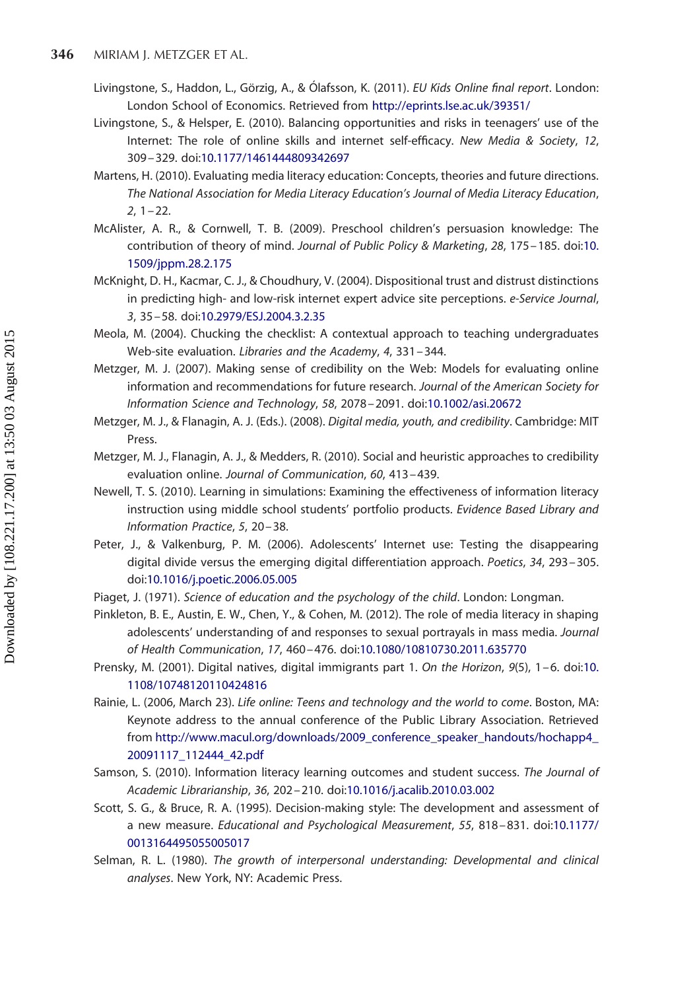- <span id="page-21-0"></span>Livingstone, S., Haddon, L., Görzig, A., & Ólafsson, K. (2011). EU Kids Online final report. London: London School of Economics. Retrieved from [http://eprints.lse.ac.uk/39351/](http://eprints.lse.ac.uk/39351)
- Livingstone, S., & Helsper, E. (2010). Balancing opportunities and risks in teenagers' use of the Internet: The role of online skills and internet self-efficacy. New Media & Society, 12, 309 –329. doi:[10.1177/1461444809342697](http://dx.doi.org/10.1177/1461444809342697)
- Martens, H. (2010). Evaluating media literacy education: Concepts, theories and future directions. The National Association for Media Literacy Education's Journal of Media Literacy Education,  $2, 1 - 22.$
- McAlister, A. R., & Cornwell, T. B. (2009). Preschool children's persuasion knowledge: The contribution of theory of mind. Journal of Public Policy & Marketing, 28, 175 –185. doi[:10.](http://dx.doi.org/10.1509/jppm.28.2.175) [1509/jppm.28.2.175](http://dx.doi.org/10.1509/jppm.28.2.175)
- McKnight, D. H., Kacmar, C. J., & Choudhury, V. (2004). Dispositional trust and distrust distinctions in predicting high- and low-risk internet expert advice site perceptions. e-Service Journal, 3, 35 –58. doi[:10.2979/ESJ.2004.3.2.35](http://dx.doi.org/10.2979/ESJ.2004.3.2.35)
- Meola, M. (2004). Chucking the checklist: A contextual approach to teaching undergraduates Web-site evaluation. Libraries and the Academy, 4, 331 –344.
- Metzger, M. J. (2007). Making sense of credibility on the Web: Models for evaluating online information and recommendations for future research. Journal of the American Society for Information Science and Technology, 58, 2078–2091. doi[:10.1002/asi.20672](http://dx.doi.org/10.1002/asi.20672)
- Metzger, M. J., & Flanagin, A. J. (Eds.). (2008). Digital media, youth, and credibility. Cambridge: MIT Press.
- Metzger, M. J., Flanagin, A. J., & Medders, R. (2010). Social and heuristic approaches to credibility evaluation online. Journal of Communication, 60, 413 –439.
- Newell, T. S. (2010). Learning in simulations: Examining the effectiveness of information literacy instruction using middle school students' portfolio products. Evidence Based Library and Information Practice, 5, 20–38.
- Peter, J., & Valkenburg, P. M. (2006). Adolescents' Internet use: Testing the disappearing digital divide versus the emerging digital differentiation approach. Poetics, 34, 293 –305. doi[:10.1016/j.poetic.2006.05.005](http://dx.doi.org/10.1016/j.poetic.2006.05.005)
- Piaget, J. (1971). Science of education and the psychology of the child. London: Longman.
- Pinkleton, B. E., Austin, E. W., Chen, Y., & Cohen, M. (2012). The role of media literacy in shaping adolescents' understanding of and responses to sexual portrayals in mass media. Journal of Health Communication, 17, 460 –476. doi[:10.1080/10810730.2011.635770](http://dx.doi.org/10.1080/10810730.2011.635770)
- Prensky, M. (2001). Digital natives, digital immigrants part 1. On the Horizon, 9(5), 1 –6. doi[:10.](http://dx.doi.org/10.1108/10748120110424816) [1108/10748120110424816](http://dx.doi.org/10.1108/10748120110424816)
- Rainie, L. (2006, March 23). Life online: Teens and technology and the world to come. Boston, MA: Keynote address to the annual conference of the Public Library Association. Retrieved from [http://www.macul.org/downloads/2009\\_conference\\_speaker\\_handouts/hochapp4\\_](http://www.macul.org/downloads/2009_conference_speaker_handouts/hochapp4_20091117_112444_42.pdf) [20091117\\_112444\\_42.pdf](http://www.macul.org/downloads/2009_conference_speaker_handouts/hochapp4_20091117_112444_42.pdf)
- Samson, S. (2010). Information literacy learning outcomes and student success. The Journal of Academic Librarianship, 36, 202 –210. doi[:10.1016/j.acalib.2010.03.002](http://dx.doi.org/10.1016/j.acalib.2010.03.002)
- Scott, S. G., & Bruce, R. A. (1995). Decision-making style: The development and assessment of a new measure. Educational and Psychological Measurement, 55, 818 –831. doi:[10.1177/](http://dx.doi.org/10.1177/0013164495055005017) [0013164495055005017](http://dx.doi.org/10.1177/0013164495055005017)
- Selman, R. L. (1980). The growth of interpersonal understanding: Developmental and clinical analyses. New York, NY: Academic Press.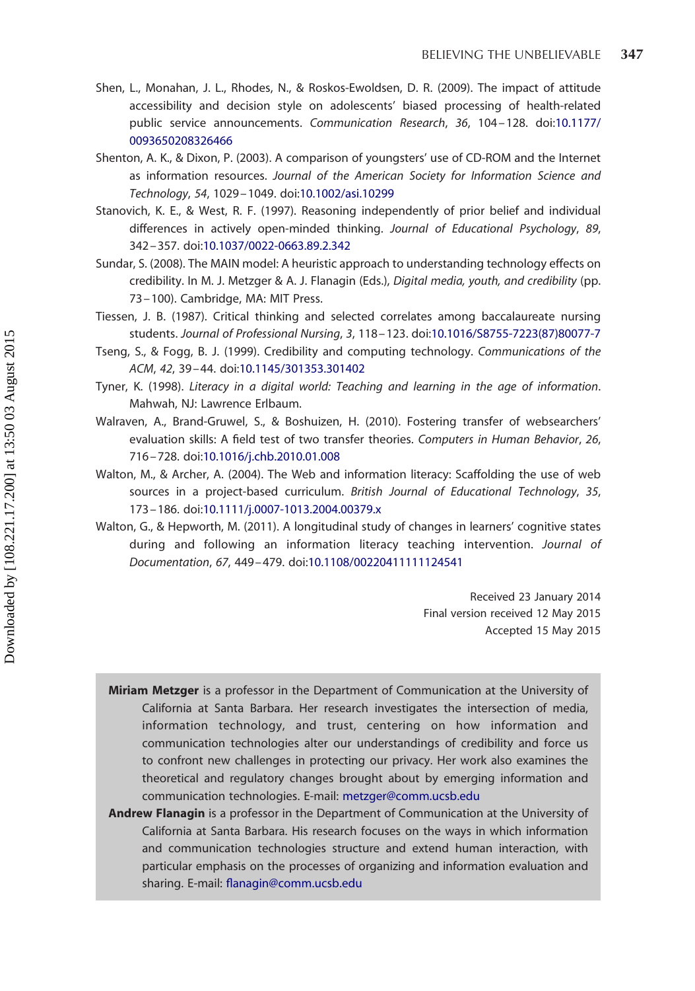- <span id="page-22-0"></span>Shen, L., Monahan, J. L., Rhodes, N., & Roskos-Ewoldsen, D. R. (2009). The impact of attitude accessibility and decision style on adolescents' biased processing of health-related public service announcements. Communication Research, 36, 104 –128. doi[:10.1177/](http://dx.doi.org/doi:10.1177/0093650208326466) [0093650208326466](http://dx.doi.org/doi:10.1177/0093650208326466)
- Shenton, A. K., & Dixon, P. (2003). A comparison of youngsters' use of CD-ROM and the Internet as information resources. Journal of the American Society for Information Science and Technology, 54, 1029 –1049. doi:[10.1002/asi.10299](http://dx.doi.org/10.1002/asi.10299)
- Stanovich, K. E., & West, R. F. (1997). Reasoning independently of prior belief and individual differences in actively open-minded thinking. Journal of Educational Psychology, 89, 342 –357. doi[:10.1037/0022-0663.89.2.342](http://dx.doi.org/doi:10.1037/0022-0663.89.2.342)
- Sundar, S. (2008). The MAIN model: A heuristic approach to understanding technology effects on credibility. In M. J. Metzger & A. J. Flanagin (Eds.), Digital media, youth, and credibility (pp. 73–100). Cambridge, MA: MIT Press.
- Tiessen, J. B. (1987). Critical thinking and selected correlates among baccalaureate nursing students. Journal of Professional Nursing, 3, 118 –123. doi[:10.1016/S8755-7223\(87\)80077-7](http://dx.doi.org/10.1016/S8755-7223(87)80077-7)
- Tseng, S., & Fogg, B. J. (1999). Credibility and computing technology. Communications of the ACM, 42, 39–44. doi:[10.1145/301353.301402](http://dx.doi.org/10.1145/301353.301402)
- Tyner, K. (1998). Literacy in a digital world: Teaching and learning in the age of information. Mahwah, NJ: Lawrence Erlbaum.
- Walraven, A., Brand-Gruwel, S., & Boshuizen, H. (2010). Fostering transfer of websearchers' evaluation skills: A field test of two transfer theories. Computers in Human Behavior, 26, 716 –728. doi[:10.1016/j.chb.2010.01.008](http://dx.doi.org/10.1016/j.chb.2010.01.008)
- Walton, M., & Archer, A. (2004). The Web and information literacy: Scaffolding the use of web sources in a project-based curriculum. British Journal of Educational Technology, 35, 173 –186. doi[:10.1111/j.0007-1013.2004.00379.x](http://dx.doi.org/10.1111/j.0007-1013.2004.00379.x)
- Walton, G., & Hepworth, M. (2011). A longitudinal study of changes in learners' cognitive states during and following an information literacy teaching intervention. Journal of Documentation, 67, 449 –479. doi:[10.1108/00220411111124541](http://dx.doi.org/10.1108/00220411111124541)

Received 23 January 2014 Final version received 12 May 2015 Accepted 15 May 2015

- **Miriam Metzger** is a professor in the Department of Communication at the University of California at Santa Barbara. Her research investigates the intersection of media, information technology, and trust, centering on how information and communication technologies alter our understandings of credibility and force us to confront new challenges in protecting our privacy. Her work also examines the theoretical and regulatory changes brought about by emerging information and communication technologies. E-mail: [metzger@comm.ucsb.edu](mailto:metzger@comm.ucsb.edu)
- Andrew Flanagin is a professor in the Department of Communication at the University of California at Santa Barbara. His research focuses on the ways in which information and communication technologies structure and extend human interaction, with particular emphasis on the processes of organizing and information evaluation and sharing. E-mail: [flanagin@comm.ucsb.edu](mailto:flanagin@comm.ucsb.edu)